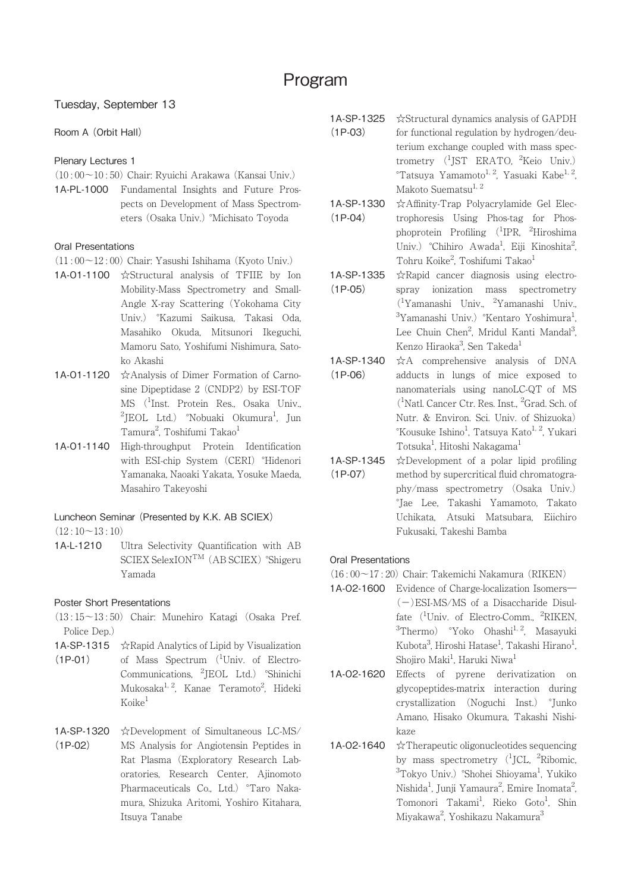# Tuesday, September 13

# Room A (Orbit Hall)

# Plenary Lectures 1

- $(10:00\sim10:50)$  Chair: Ryuichi Arakawa (Kansai Univ.)
- 1A-PL-1000 Fundamental Insights and Future Prospects on Development of Mass Spectrometers (Osaka Univ.) °Michisato Toyoda

# Oral Presentations

- (11 : 00~12 : 00) Chair: Yasushi Ishihama (Kyoto Univ.)
- 1A-O1-1100 ☆Structural analysis of TFIIE by Ion Mobility-Mass Spectrometry and Small-Angle X-ray Scattering (Yokohama City Univ.) °Kazumi Saikusa, Takasi Oda, Masahiko Okuda, Mitsunori Ikeguchi, Mamoru Sato, Yoshifumi Nishimura, Satoko Akashi
- 1A-O1-1120 ☆Analysis of Dimer Formation of Carnosine Dipeptidase 2 (CNDP2) by ESI-TOF MS (1 Inst. Protein Res., Osaka Univ., <sup>2</sup>JEOL Ltd.) °Nobuaki Okumura<sup>1</sup>, Jun Tamura<sup>2</sup>, Toshifumi Takao<sup>1</sup>
- 1A-O1-1140 High-throughput Protein Identification with ESI-chip System (CERI) °Hidenori Yamanaka, Naoaki Yakata, Yosuke Maeda, Masahiro Takeyoshi

## Luncheon Seminar (Presented by K.K. AB SCIEX)

 $(12:10~13:10)$ 

1A-L-1210 Ultra Selectivity Quantification with AB SCIEX SelexIONTM (AB SCIEX) °Shigeru Yamada

# Poster Short Presentations

- (13 : 15~13 : 50) Chair: Munehiro Katagi (Osaka Pref. Police Dep.)
- **1A-SP-1315**  $\hat{\mathcal{R}}$ Rapid Analytics of Lipid by Visualization
- (1P-01) of Mass Spectrum (<sup>1</sup>Univ. of Electro-Communications, <sup>2</sup>JEOL Ltd.) °Shinichi Mukosaka<sup>1, 2</sup>, Kanae Teramoto<sup>2</sup>, Hideki  $Koike<sup>1</sup>$
- 1A-SP-1320 (1P-02) ☆Development of Simultaneous LC-MS/ MS Analysis for Angiotensin Peptides in Rat Plasma (Exploratory Research Laboratories, Research Center, Ajinomoto Pharmaceuticals Co., Ltd.) °Taro Nakamura, Shizuka Aritomi, Yoshiro Kitahara, Itsuya Tanabe
- 1A-SP-1325 (1P-03) ☆Structural dynamics analysis of GAPDH for functional regulation by hydrogen/deuterium exchange coupled with mass spectrometry (<sup>1</sup>JST ERATO, <sup>2</sup>Keio Univ.)  $\degree$ Tatsuya Yamamoto<sup>1, 2</sup>, Yasuaki Kabe<sup>1, 2</sup>, Makoto Suematsu<sup>1, 2</sup>
- 1A-SP-1330 (1P-04) ☆Affinity-Trap Polyacrylamide Gel Electrophoresis Using Phos-tag for Phosphoprotein Profiling (<sup>1</sup>IPR, <sup>2</sup>Hiroshima Univ.) °Chihiro Awada<sup>1</sup>, Eiji Kinoshita<sup>2</sup> , Tohru Koike<sup>2</sup>, Toshifumi Takao<sup>1</sup>
- 1A-SP-1335 (1P-05) ☆Rapid cancer diagnosis using electrospray ionization mass spectrometry (1 Yamanashi Univ., <sup>2</sup> Yamanashi Univ., <sup>3</sup>Yamanashi Univ.) °Kentaro Yoshimura<sup>1</sup> , Lee Chuin Chen<sup>2</sup>, Mridul Kanti Mandal<sup>3</sup> ,<br>, Kenzo Hiraoka<sup>3</sup>, Sen Takeda<sup>1</sup>
- 1A-SP-1340 (1P-06) ☆A comprehensive analysis of DNA adducts in lungs of mice exposed to nanomaterials using nanoLC-QT of MS (1 Natl. Cancer Ctr. Res. Inst., <sup>2</sup> Grad. Sch. of Nutr. & Environ. Sci. Univ. of Shizuoka) °Kousuke Ishino<sup>1</sup>, Tatsuya Kato<sup>1, 2</sup>, Yukari Totsuka<sup>1</sup>, Hitoshi Nakagama<sup>1</sup>
- 1A-SP-1345 (1P-07) ☆Development of a polar lipid profiling method by supercritical fluid chromatography/mass spectrometry (Osaka Univ.) °Jae Lee, Takashi Yamamoto, Takato Uchikata, Atsuki Matsubara, Eiichiro Fukusaki, Takeshi Bamba

# Oral Presentations

- (16 : 00~17 : 20) Chair: Takemichi Nakamura (RIKEN)
- 1A-O2-1600 Evidence of Charge-localization Isomers― (−)ESI-MS/MS of a Disaccharide Disulfate (<sup>1</sup>Univ. of Electro-Comm., <sup>2</sup>RIKEN, <sup>3</sup>Thermo) <sup>°</sup>Yoko Ohashi<sup>1, 2</sup>, Masayuki Kubota<sup>3</sup>, Hiroshi Hatase<sup>1</sup>, Takashi Hirano<sup>1</sup> , Shojiro Maki<sup>1</sup>, Haruki Niwa<sup>1</sup>
- 1A-O2-1620 Effects of pyrene derivatization on glycopeptides-matrix interaction during crystallization (Noguchi Inst.) °Junko Amano, Hisako Okumura, Takashi Nishikaze
- 1A-O2-1640 ☆Therapeutic oligonucleotides sequencing by mass spectrometry (<sup>1</sup>JCL, <sup>2</sup>Ribomic, <sup>3</sup>Tokyo Univ.) °Shohei Shioyama<sup>1</sup>, Yukiko Nishida<sup>1</sup>, Junji Yamaura<sup>2</sup>, Emire Inomata<sup>2</sup> , Tomonori Takami<sup>1</sup>, Rieko Goto<sup>1</sup>, Shin Miyakawa<sup>2</sup>, Yoshikazu Nakamura<sup>3</sup>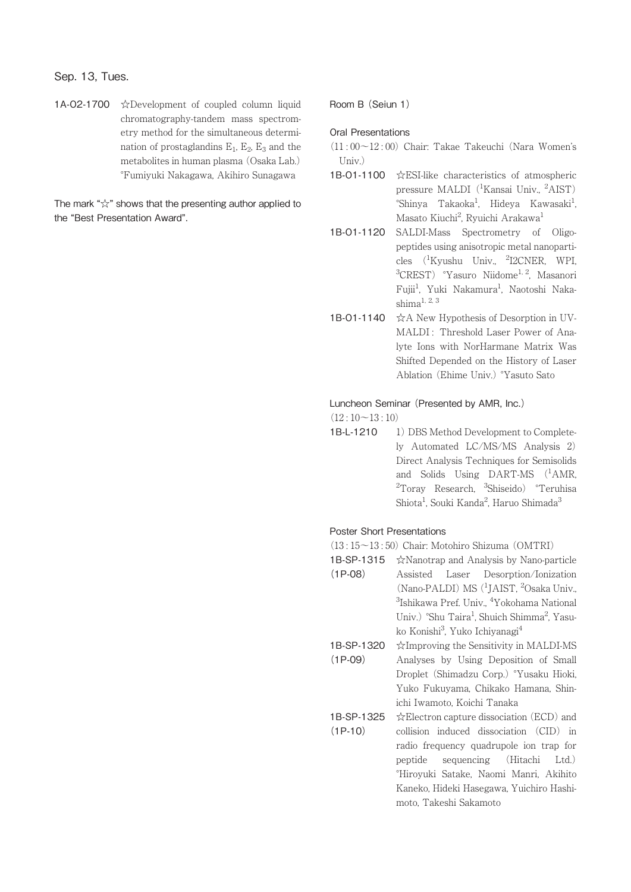# Sep. 13, Tues.

1A-O2-1700 ☆Development of coupled column liquid chromatography-tandem mass spectrometry method for the simultaneous determination of prostaglandins  $E_1$ ,  $E_2$ ,  $E_3$  and the metabolites in human plasma (Osaka Lab.) °Fumiyuki Nakagawa, Akihiro Sunagawa

The mark " $\chi$ " shows that the presenting author applied to the "Best Presentation Award".

Room B (Seiun 1)

## Oral Presentations

- $(11 \cdot 00 \sim 12 \cdot 00)$  Chair: Takae Takeuchi (Nara Women's  $Univ$ )
- 1B-O1-1100 ☆ESI-like characteristics of atmospheric pressure MALDI (<sup>1</sup>Kansai Univ., <sup>2</sup>AIST) °Shinya Takaoka<sup>1</sup>, Hideya Kawasaki<sup>1</sup> , Masato Kiuchi<sup>2</sup>, Ryuichi Arakawa<sup>1</sup>
- 1B-O1-1120 SALDI-Mass Spectrometry of Oligopeptides using anisotropic metal nanoparticles (<sup>1</sup>Kyushu Univ., <sup>2</sup>I2CNER, WPI, <sup>3</sup>CREST) <sup>o</sup>Yasuro Niidome<sup>1, 2</sup>, Masanori Fujii<sup>1</sup>, Yuki Nakamura<sup>1</sup>, Naotoshi Naka $shima<sup>1, 2, 3</sup>$
- 1B-O1-1140 ☆A New Hypothesis of Desorption in UV-MALDI: Threshold Laser Power of Analyte Ions with NorHarmane Matrix Was Shifted Depended on the History of Laser Ablation (Ehime Univ.) °Yasuto Sato

#### Luncheon Seminar (Presented by AMR, Inc.)

 $(12:10~13:10)$ 

1B-L-1210 1) DBS Method Development to Completely Automated LC/MS/MS Analysis 2) Direct Analysis Techniques for Semisolids and Solids Using DART-MS (<sup>1</sup>AMR, <sup>2</sup>Toray Research, <sup>3</sup>Shiseido) °Teruhisa Shiota<sup>1</sup>, Souki Kanda<sup>2</sup>, Haruo Shimada<sup>3</sup>

#### Poster Short Presentations

(13 : 15~13 : 50) Chair: Motohiro Shizuma (OMTRI)

- 1B-SP-1315 ☆Nanotrap and Analysis by Nano-particle (1P-08) Assisted Laser Desorption/Ionization (Nano-PALDI) MS (<sup>1</sup>JAIST, <sup>2</sup>Osaka Univ., <sup>3</sup>Ishikawa Pref. Univ., <sup>4</sup>Yokohama National Univ.) °Shu Taira<sup>1</sup>, Shuich Shimma<sup>2</sup>, Yasuko Konishi<sup>3</sup>, Yuko Ichiyanagi<sup>4</sup>
- 1B-SP-1320 (1P-09) ☆Improving the Sensitivity in MALDI-MS Analyses by Using Deposition of Small Droplet (Shimadzu Corp.) °Yusaku Hioki, Yuko Fukuyama, Chikako Hamana, Shinichi Iwamoto, Koichi Tanaka
- 1B-SP-1325 (1P-10) ☆Electron capture dissociation (ECD) and collision induced dissociation (CID) in radio frequency quadrupole ion trap for peptide sequencing (Hitachi Ltd.) °Hiroyuki Satake, Naomi Manri, Akihito Kaneko, Hideki Hasegawa, Yuichiro Hashimoto, Takeshi Sakamoto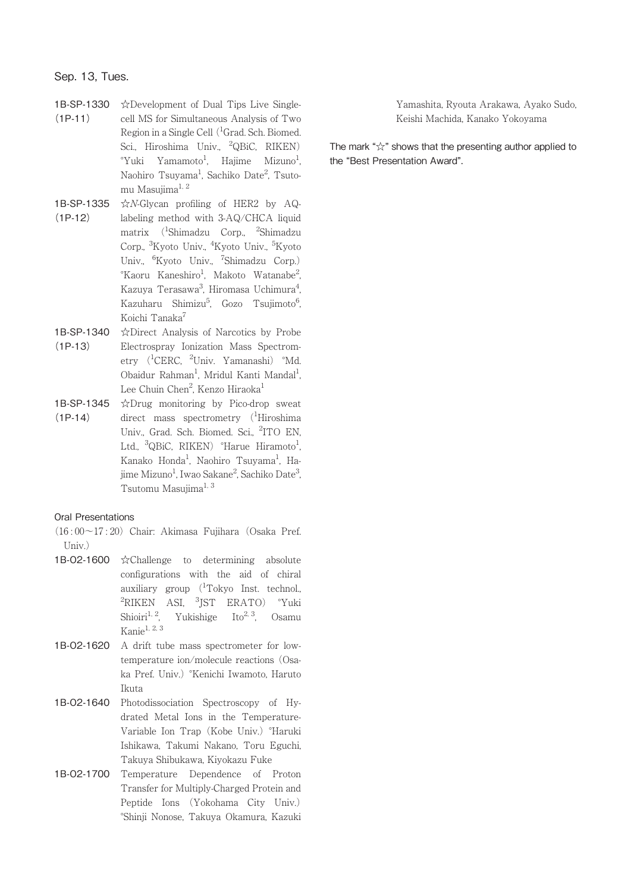1B-SP-1330  $(1P-11)$ ☆Development of Dual Tips Live Singlecell MS for Simultaneous Analysis of Two Region in a Single Cell (<sup>1</sup>Grad. Sch. Biomed. Sci., Hiroshima Univ., <sup>2</sup>QBiC, RIKEN)  $\mathrm{``Yuki}$   $\mathrm{``Yamamoto}^1$ , Hajime Mizuno $\mathrm{^{1}}$ , Naohiro Tsuyama<sup>1</sup>, Sachiko Date<sup>2</sup>, Tsutomu Masujima $^{1, 2}$ 

- 1B-SP-1335 (1P-12) ☆N-Glycan profiling of HER2 by AQlabeling method with 3-AQ/CHCA liquid matrix (<sup>1</sup> Shimadzu Corp., <sup>2</sup> Shimadzu Corp., <sup>3</sup>Kyoto Univ., <sup>4</sup>Kyoto Univ., <sup>5</sup>Kyoto Univ., <sup>6</sup>Kyoto Univ., <sup>7</sup>Shimadzu Corp.) °Kaoru Kaneshiro<sup>1</sup>, Makoto Watanabe<sup>2</sup> , Kazuya Terasawa<sup>3</sup>, Hiromasa Uchimura<sup>4</sup> , Kazuharu Shimizu<sup>5</sup>, Gozo Tsujimoto<sup>6</sup> .<br>י Koichi Tanaka<sup>7</sup>
- 1B-SP-1340  $(1P-13)$ ☆Direct Analysis of Narcotics by Probe Electrospray Ionization Mass Spectrometry (<sup>1</sup>CERC, <sup>2</sup>Univ. Yamanashi) °Md. Obaidur Rahman<sup>1</sup>, Mridul Kanti Mandal<sup>1</sup> , Lee Chuin Chen<sup>2</sup>, Kenzo Hiraoka<sup>1</sup>
- 1B-SP-1345  $(1P-14)$ ☆Drug monitoring by Pico-drop sweat direct mass spectrometry (<sup>1</sup>Hiroshima Univ., Grad. Sch. Biomed. Sci., <sup>2</sup>ITO EN, Ltd., <sup>3</sup>QBiC, RIKEN) °Harue Hiramoto<sup>1</sup> , Kanako Honda<sup>1</sup>, Naohiro Tsuyama<sup>1</sup>, Hajime Mizuno<sup>1</sup>, Iwao Sakane<sup>2</sup>, Sachiko Date<sup>3</sup> .<br>, Tsutomu Masujima<sup>1, 3</sup>

## Oral Presentations

- (16 : 00~17 : 20) Chair: Akimasa Fujihara (Osaka Pref. Univ.)
- 1B-O2-1600 ☆Challenge to determining absolute configurations with the aid of chiral auxiliary group  $(^1$ Tokyo Inst. technol., <sup>2</sup>RIKEN ASI, <sup>3</sup>JST ERATO) °Yuki Shioiri<sup>1, 2</sup>, Yukishige Ito<sup>2, 3</sup>, Osamu Kanie1, 2, 3
- 1B-O2-1620 A drift tube mass spectrometer for lowtemperature ion/molecule reactions (Osaka Pref. Univ.) °Kenichi Iwamoto, Haruto Ikuta
- 1B-O2-1640 Photodissociation Spectroscopy of Hydrated Metal Ions in the Temperature-Variable Ion Trap (Kobe Univ.) °Haruki Ishikawa, Takumi Nakano, Toru Eguchi, Takuya Shibukawa, Kiyokazu Fuke
- 1B-O2-1700 Temperature Dependence of Proton Transfer for Multiply-Charged Protein and Peptide Ions (Yokohama City Univ.) °Shinji Nonose, Takuya Okamura, Kazuki

Yamashita, Ryouta Arakawa, Ayako Sudo, Keishi Machida, Kanako Yokoyama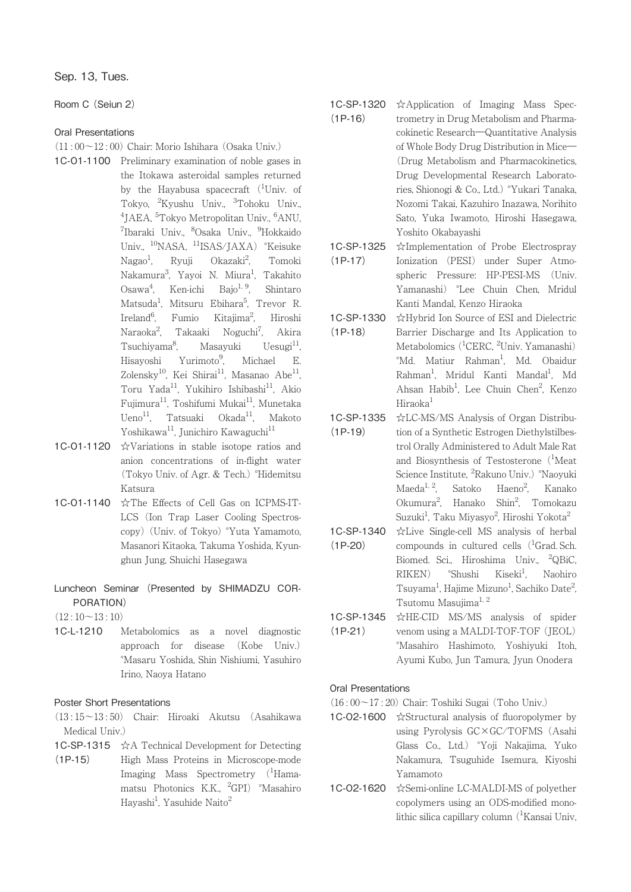Sep. 13, Tues.

Room C (Seiun 2)

## Oral Presentations

- $(11 \cdot 00 \sim 12 \cdot 00)$  Chair: Morio Ishihara (Osaka Univ.)
- 1C-O1-1100 Preliminary examination of noble gases in the Itokawa asteroidal samples returned by the Hayabusa spacecraft (<sup>1</sup>Univ. of Tokyo, <sup>2</sup> Kyushu Univ., <sup>3</sup> Tohoku Univ., <sup>4</sup>JAEA, <sup>5</sup>Tokyo Metropolitan Univ., <sup>6</sup>ANU, <sup>7</sup>Ibaraki Univ., <sup>8</sup>Osaka Univ., <sup>9</sup>Hokkaido Univ., <sup>10</sup>NASA, <sup>11</sup>ISAS/JAXA) °Keisuke  $Nagao<sup>1</sup>$ , Ryuji Okazaki<sup>2</sup>, , Tomoki Nakamura<sup>3</sup>, Yayoi N. Miura<sup>1</sup>, Takahito  $Osawa<sup>4</sup>$ , Ken-ichi Bajo<sup>1, 9</sup>, Shintaro Matsuda<sup>1</sup>, Mitsuru Ebihara<sup>5</sup>, Trevor R. Ireland<sup>6</sup>, Fumio Kitajima<sup>2</sup> Kitajima<sup>2</sup>, Hiroshi Naraoka<sup>2</sup>. Takaaki Noguchi<sup>7</sup>, , Akira Tsuchiyama<sup>8</sup>. Masayuki Uesugi<sup>11</sup>, Hisayoshi Yurimoto9. , Michael E. Zolensky<sup>10</sup>, Kei Shirai<sup>11</sup>, Masanao Abe<sup>11</sup>, Toru Yada<sup>11</sup>, Yukihiro Ishibashi<sup>11</sup>, Akio Fujimura<sup>11</sup>, Toshifumi Mukai<sup>11</sup>, Munetaka Ueno<sup>11</sup>, Tatsuaki Okada<sup>11</sup>, Makoto Yoshikawa<sup>11</sup>, Junichiro Kawaguchi<sup>11</sup>
- 1C-O1-1120 ☆Variations in stable isotope ratios and anion concentrations of in-flight water (Tokyo Univ. of Agr. & Tech.) °Hidemitsu Katsura
- 1C-O1-1140 ☆The Effects of Cell Gas on ICPMS-IT-LCS (Ion Trap Laser Cooling Spectroscopy) (Univ. of Tokyo) °Yuta Yamamoto, Masanori Kitaoka, Takuma Yoshida, Kyunghun Jung, Shuichi Hasegawa
- Luncheon Seminar (Presented by SHIMADZU COR-PORATION)
- $(12:10~13:10)$
- 1C-L-1210 Metabolomics as a novel diagnostic approach for disease (Kobe Univ.) °Masaru Yoshida, Shin Nishiumi, Yasuhiro Irino, Naoya Hatano

# Poster Short Presentations

- (13 : 15~13 : 50) Chair: Hiroaki Akutsu (Asahikawa Medical Univ.)
- 1C-SP-1315 ☆A Technical Development for Detecting
- $(1P-15)$ High Mass Proteins in Microscope-mode Imaging Mass Spectrometry (<sup>1</sup>Hamamatsu Photonics K.K., <sup>2</sup>GPI) °Masahiro Hayashi<sup>1</sup>, Yasuhide Naito<sup>2</sup>
- 1C-SP-1320 (1P-16) ☆Application of Imaging Mass Spectrometry in Drug Metabolism and Pharmacokinetic Research―Quantitative Analysis of Whole Body Drug Distribution in Mice― (Drug Metabolism and Pharmacokinetics, Drug Developmental Research Laboratories, Shionogi & Co., Ltd.) °Yukari Tanaka, Nozomi Takai, Kazuhiro Inazawa, Norihito Sato, Yuka Iwamoto, Hiroshi Hasegawa, Yoshito Okabayashi
- 1C-SP-1325 (1P-17) ☆Implementation of Probe Electrospray Ionization (PESI) under Super Atmospheric Pressure: HP-PESI-MS (Univ. Yamanashi) °Lee Chuin Chen, Mridul Kanti Mandal, Kenzo Hiraoka
- 1C-SP-1330 (1P-18) ☆Hybrid Ion Source of ESI and Dielectric Barrier Discharge and Its Application to Metabolomics (<sup>1</sup>CERC, <sup>2</sup>Univ. Yamanashi) °Md. Matiur Rahman<sup>1</sup>, Md. Obaidur Rahman<sup>1</sup>, Mridul Kanti Mandal<sup>1</sup>, Md Ahsan Habib<sup>1</sup>, Lee Chuin Chen<sup>2</sup>, Kenzo Hiraoka<sup>1</sup>
- 1C-SP-1335 (1P-19) ☆LC-MS/MS Analysis of Organ Distribution of a Synthetic Estrogen Diethylstilbestrol Orally Administered to Adult Male Rat and Biosynthesis of Testosterone (<sup>1</sup>Meat Science Institute, <sup>2</sup>Rakuno Univ.) °Naoyuki Maeda<sup>1, 2</sup>, Satoko Haeno<sup>2</sup>, Kanako Okumura<sup>2</sup>, Hanako Shin<sup>2</sup>, Tomokazu Suzuki<sup>1</sup>, Taku Miyasyo<sup>2</sup>, Hiroshi Yokota<sup>2</sup>
- 1C-SP-1340 (1P-20) ☆Live Single-cell MS analysis of herbal compounds in cultured cells (<sup>1</sup>Grad. Sch. Biomed. Sci., Hiroshima Univ., <sup>2</sup> QBiC,  $RIKEN$   $<sup>°</sup>Shushi$  Kiseki<sup>1</sup>.</sup> , Naohiro Tsuyama<sup>1</sup>, Hajime Mizuno<sup>1</sup>, Sachiko Date<sup>2</sup> , Tsutomu Masujima<sup>1, 2</sup>
- 1C-SP-1345 (1P-21) ☆HE-CID MS/MS analysis of spider venom using a MALDI-TOF-TOF (JEOL) °Masahiro Hashimoto, Yoshiyuki Itoh, Ayumi Kubo, Jun Tamura, Jyun Onodera

## Oral Presentations

- (16 : 00~17 : 20) Chair: Toshiki Sugai (Toho Univ.)
- 1C-O2-1600 ☆Structural analysis of fluoropolymer by using Pyrolysis GC×GC/TOFMS (Asahi Glass Co., Ltd.) °Yoji Nakajima, Yuko Nakamura, Tsuguhide Isemura, Kiyoshi Yamamoto
- 1C-O2-1620 ☆Semi-online LC-MALDI-MS of polyether copolymers using an ODS-modified monolithic silica capillary column (<sup>1</sup>Kansai Univ,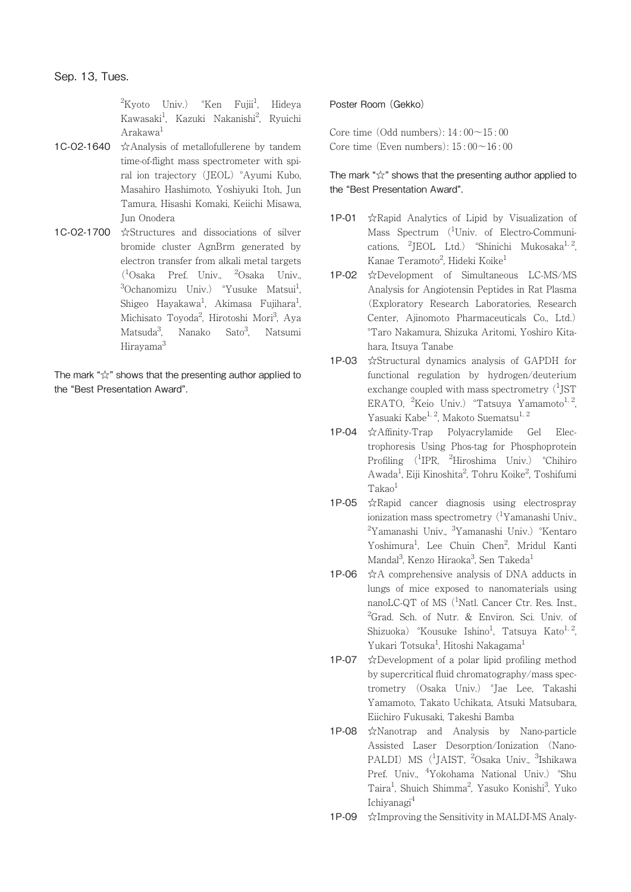<sup>2</sup>Kyoto Univ.) °Ken Fujii<sup>1</sup> , Hideya Kawasaki<sup>1</sup>, Kazuki Nakanishi<sup>2</sup>, Ryuichi Arakawa<sup>1</sup>

- 1C-O2-1640 ☆Analysis of metallofullerene by tandem time-of-flight mass spectrometer with spiral ion trajectory (JEOL) °Ayumi Kubo, Masahiro Hashimoto, Yoshiyuki Itoh, Jun Tamura, Hisashi Komaki, Keiichi Misawa, Jun Onodera
- 1C-O2-1700 ☆Structures and dissociations of silver bromide cluster AgnBrm generated by electron transfer from alkali metal targets (1 Osaka Pref. Univ., <sup>2</sup> Osaka Univ., <sup>3</sup>Ochanomizu Univ.) °Yusuke Matsui<sup>1</sup> , Shigeo Hayakawa<sup>1</sup>, Akimasa Fujihara<sup>1</sup> , Michisato Toyoda<sup>2</sup>, Hirotoshi Mori<sup>3</sup>, Aya Matsuda<sup>3</sup>. Nanako Sato<sup>3</sup>. , Natsumi Hirayama3

The mark "☆" shows that the presenting author applied to the "Best Presentation Award".

## Poster Room (Gekko)

Core time  $(Odd numbers): 14:00 \sim 15:00$ Core time (Even numbers):  $15 \cdot 00 \sim 16 \cdot 00$ 

- 1P-01 ☆Rapid Analytics of Lipid by Visualization of Mass Spectrum (<sup>1</sup>Univ. of Electro-Communications, <sup>2</sup>JEOL Ltd.) °Shinichi Mukosaka<sup>1, 2</sup>, Kanae Teramoto<sup>2</sup>, Hideki Koike<sup>1</sup>
- 1P-02 ☆Development of Simultaneous LC-MS/MS Analysis for Angiotensin Peptides in Rat Plasma (Exploratory Research Laboratories, Research Center, Ajinomoto Pharmaceuticals Co., Ltd.) °Taro Nakamura, Shizuka Aritomi, Yoshiro Kitahara, Itsuya Tanabe
- 1P-03 ☆Structural dynamics analysis of GAPDH for functional regulation by hydrogen/deuterium exchange coupled with mass spectrometry  $(^1$ JST ERATO, <sup>2</sup>Keio Univ.) <sup>o</sup>Tatsuya Yamamoto<sup>1, 2</sup>, Yasuaki Kabe<sup>1, 2</sup>, Makoto Suematsu<sup>1, 2</sup>
- 1P-04 ☆Affinity-Trap Polyacrylamide Gel Electrophoresis Using Phos-tag for Phosphoprotein Profiling (<sup>1</sup>IPR, <sup>2</sup>Hiroshima Univ.) °Chihiro Awada<sup>1</sup>, Eiji Kinoshita<sup>2</sup>, Tohru Koike<sup>2</sup>, Toshifumi Takao<sup>1</sup>
- 1P-05 ☆Rapid cancer diagnosis using electrospray ionization mass spectrometry (<sup>1</sup>Yamanashi Univ.,  ${}^{2}\mathrm{Y}$ amanashi Univ.,  ${}^{3}\mathrm{Y}$ amanashi Univ.)  ${}^{\circ}\mathrm{K}$ entaro Yoshimura<sup>1</sup>, Lee Chuin Chen<sup>2</sup>, Mridul Kanti Mandal<sup>3</sup>, Kenzo Hiraoka<sup>3</sup>, Sen Takeda<sup>1</sup>
- 1P-06  $\angle$   $\angle$ A comprehensive analysis of DNA adducts in lungs of mice exposed to nanomaterials using nanoLC-QT of MS (<sup>1</sup>Natl. Cancer Ctr. Res. Inst., <sup>2</sup>Grad. Sch. of Nutr. & Environ. Sci. Univ. of Shizuoka) °Kousuke Ishino<sup>1</sup>, Tatsuya Kato<sup>1, 2</sup>, Yukari Totsuka<sup>1</sup>, Hitoshi Nakagama<sup>1</sup>
- 1P-07  $\angle$ Development of a polar lipid profiling method by supercritical fluid chromatography/mass spectrometry (Osaka Univ.) °Jae Lee, Takashi Yamamoto, Takato Uchikata, Atsuki Matsubara, Eiichiro Fukusaki, Takeshi Bamba
- 1P-08 ☆Nanotrap and Analysis by Nano-particle Assisted Laser Desorption/Ionization (Nano-PALDI) MS (<sup>1</sup>JAIST, <sup>2</sup>Osaka Univ., <sup>3</sup>Ishikawa Pref. Univ., <sup>4</sup>Yokohama National Univ.) °Shu Taira<sup>1</sup>, Shuich Shimma<sup>2</sup>, Yasuko Konishi<sup>3</sup>, Yuko Ichiyanagi4
- 1P-09 ☆Improving the Sensitivity in MALDI-MS Analy-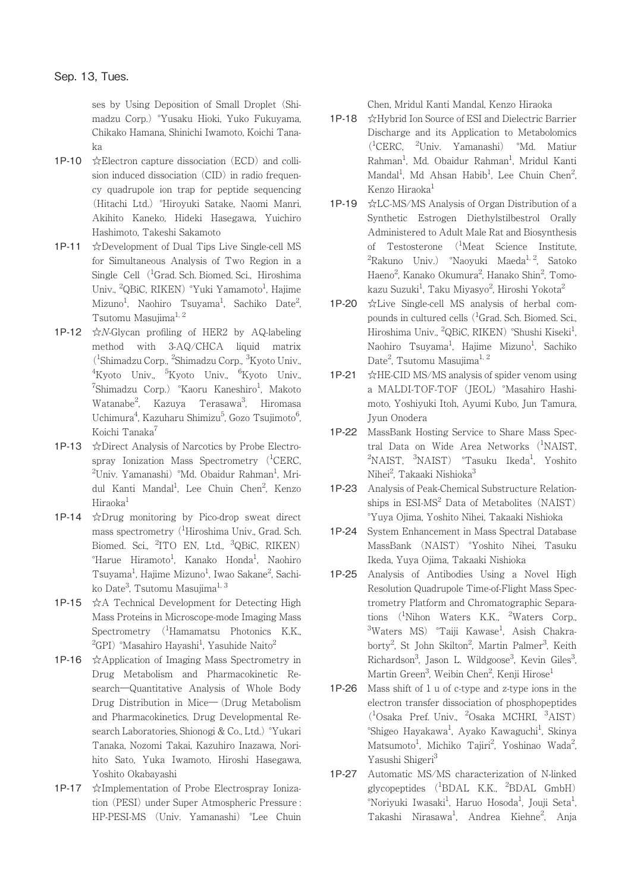ses by Using Deposition of Small Droplet (Shimadzu Corp.) °Yusaku Hioki, Yuko Fukuyama, Chikako Hamana, Shinichi Iwamoto, Koichi Tanaka

- 1P-10 ☆Electron capture dissociation (ECD) and collision induced dissociation (CID) in radio frequency quadrupole ion trap for peptide sequencing (Hitachi Ltd.) °Hiroyuki Satake, Naomi Manri, Akihito Kaneko, Hideki Hasegawa, Yuichiro Hashimoto, Takeshi Sakamoto
- 1P-11 ☆Development of Dual Tips Live Single-cell MS for Simultaneous Analysis of Two Region in a Single Cell (<sup>1</sup>Grad. Sch. Biomed. Sci., Hiroshima Univ., <sup>2</sup>QBiC, RIKEN) °Yuki Yamamoto<sup>1</sup>, Hajime Mizuno<sup>1</sup>, Naohiro Tsuyama<sup>1</sup>, Sachiko Date<sup>2</sup> .<br>, Tsutomu Masujima<sup>1, 2</sup>
- 1P-12  $\forall$ *N*-Glycan profiling of HER2 by AQ-labeling method with 3-AQ/CHCA liquid matrix (1 Shimadzu Corp., <sup>2</sup> Shimadzu Corp., <sup>3</sup> Kyoto Univ., <sup>4</sup>Kyoto Univ., <sup>5</sup>Kyoto Univ., <sup>6</sup>Kyoto Univ., <sup>7</sup>Shimadzu Corp.) °Kaoru Kaneshiro<sup>1</sup>, Makoto Watanabe<sup>2</sup>, Kazuya Terasawa<sup>3</sup>, Hiromasa Uchimura<sup>4</sup>, Kazuharu Shimizu<sup>5</sup>, Gozo Tsujimoto<sup>6</sup> .<br>י Koichi Tanaka<sup>7</sup>
- 1P-13 ☆Direct Analysis of Narcotics by Probe Electrospray Ionization Mass Spectrometry (<sup>1</sup>CERC, <sup>2</sup>Univ. Yamanashi) °Md. Obaidur Rahman<sup>1</sup>, Mridul Kanti Mandal<sup>1</sup>, Lee Chuin Chen<sup>2</sup>, Kenzo Hiraoka<sup>1</sup>
- 1P-14 ☆Drug monitoring by Pico-drop sweat direct mass spectrometry (<sup>1</sup>Hiroshima Univ., Grad. Sch. Biomed. Sci., <sup>2</sup>ITO EN, Ltd., <sup>3</sup>QBiC, RIKEN) °Harue Hiramoto<sup>1</sup>, Kanako Honda<sup>1</sup>, Naohiro Tsuyama<sup>1</sup>, Hajime Mizuno<sup>1</sup>, Iwao Sakane<sup>2</sup>, Sachiko Date<sup>3</sup>, Tsutomu Masujima<sup>1, 3</sup>
- 1P-15 ☆A Technical Development for Detecting High Mass Proteins in Microscope-mode Imaging Mass Spectrometry (<sup>1</sup>Hamamatsu Photonics K.K.,  $^{2}$ GPI)  $^{\circ}$ Masahiro Hayashi $^{1}$ , Yasuhide Naito $^{2}$
- 1P-16 ☆Application of Imaging Mass Spectrometry in Drug Metabolism and Pharmacokinetic Research―Quantitative Analysis of Whole Body Drug Distribution in Mice― (Drug Metabolism and Pharmacokinetics, Drug Developmental Research Laboratories, Shionogi & Co., Ltd.) °Yukari Tanaka, Nozomi Takai, Kazuhiro Inazawa, Norihito Sato, Yuka Iwamoto, Hiroshi Hasegawa, Yoshito Okabayashi
- 1P-17 ☆Implementation of Probe Electrospray Ionization (PESI) under Super Atmospheric Pressure : HP-PESI-MS (Univ. Yamanashi) °Lee Chuin

Chen, Mridul Kanti Mandal, Kenzo Hiraoka

- 1P-18 ☆Hybrid Ion Source of ESI and Dielectric Barrier Discharge and its Application to Metabolomics (1 CERC, <sup>2</sup> Univ. Yamanashi) °Md. Matiur Rahman<sup>1</sup>, Md. Obaidur Rahman<sup>1</sup>, Mridul Kanti Mandal<sup>1</sup>, Md Ahsan Habib<sup>1</sup>, Lee Chuin Chen<sup>2</sup> ;<br>; Kenzo Hiraoka<sup>1</sup>
- 1P-19 ☆LC-MS/MS Analysis of Organ Distribution of a Synthetic Estrogen Diethylstilbestrol Orally Administered to Adult Male Rat and Biosynthesis of Testosterone (1 Meat Science Institute, <sup>2</sup>Rakuno Univ.) °Naoyuki Maeda<sup>1, 2</sup>, Satoko Haeno<sup>2</sup>, Kanako Okumura<sup>2</sup>, Hanako Shin<sup>2</sup>, Tomokazu Suzuki<sup>1</sup>, Taku Miyasyo<sup>2</sup>, Hiroshi Yokota<sup>2</sup>
- 1P-20 ☆Live Single-cell MS analysis of herbal compounds in cultured cells (<sup>1</sup>Grad. Sch. Biomed. Sci., Hiroshima Univ., <sup>2</sup>QBiC, RIKEN) °Shushi Kiseki<sup>1</sup> , Naohiro Tsuyama<sup>1</sup>, Hajime Mizuno<sup>1</sup>, Sachiko Date<sup>2</sup>, Tsutomu Masujima<sup>1, 2</sup>
- 1P-21  $\star$  HE-CID MS/MS analysis of spider venom using a MALDI-TOF-TOF (JEOL) °Masahiro Hashimoto, Yoshiyuki Itoh, Ayumi Kubo, Jun Tamura, Jyun Onodera
- 1P-22 MassBank Hosting Service to Share Mass Spectral Data on Wide Area Networks (<sup>1</sup>NAIST, <sup>2</sup>NAIST, <sup>3</sup>NAIST) °Tasuku Ikeda<sup>1</sup>, Yoshito Nihei<sup>2</sup>, Takaaki Nishioka<sup>3</sup>
- 1P-23 Analysis of Peak-Chemical Substructure Relationships in  $ESI-MS<sup>2</sup>$  Data of Metabolites (NAIST) °Yuya Ojima, Yoshito Nihei, Takaaki Nishioka
- 1P-24 System Enhancement in Mass Spectral Database MassBank (NAIST) °Yoshito Nihei, Tasuku Ikeda, Yuya Ojima, Takaaki Nishioka
- 1P-25 Analysis of Antibodies Using a Novel High Resolution Quadrupole Time-of-Flight Mass Spectrometry Platform and Chromatographic Separations (<sup>1</sup>Nihon Waters K.K., <sup>2</sup>Waters Corp., <sup>3</sup>Waters MS) °Taiji Kawase<sup>1</sup>, Asish Chakraborty<sup>2</sup>, St John Skilton<sup>2</sup>, Martin Palmer<sup>3</sup>, Keith Richardson<sup>3</sup>, Jason L. Wildgoose<sup>3</sup>, Kevin Giles<sup>3</sup> ,<br>, Martin Green<sup>3</sup>, Weibin Chen<sup>2</sup>, Kenji Hirose<sup>1</sup>
- 1P-26 Mass shift of 1 u of c-type and z-type ions in the electron transfer dissociation of phosphopeptides (1 Osaka Pref. Univ., <sup>2</sup> Osaka MCHRI, <sup>3</sup> AIST) °Shigeo Hayakawa<sup>1</sup>, Ayako Kawaguchi<sup>1</sup>, Skinya Matsumoto<sup>1</sup>, Michiko Tajiri<sup>2</sup>, Yoshinao Wada<sup>2</sup> ;<br>; Yasushi Shigeri<sup>3</sup>
- 1P-27 Automatic MS/MS characterization of N-linked glycopeptides (<sup>1</sup>BDAL K.K., <sup>2</sup>BDAL GmbH) °Noriyuki Iwasaki<sup>1</sup>, Haruo Hosoda<sup>1</sup>, Jouji Seta<sup>1</sup> , Takashi Nirasawa<sup>1</sup>, Andrea Kiehne<sup>2</sup>, Anja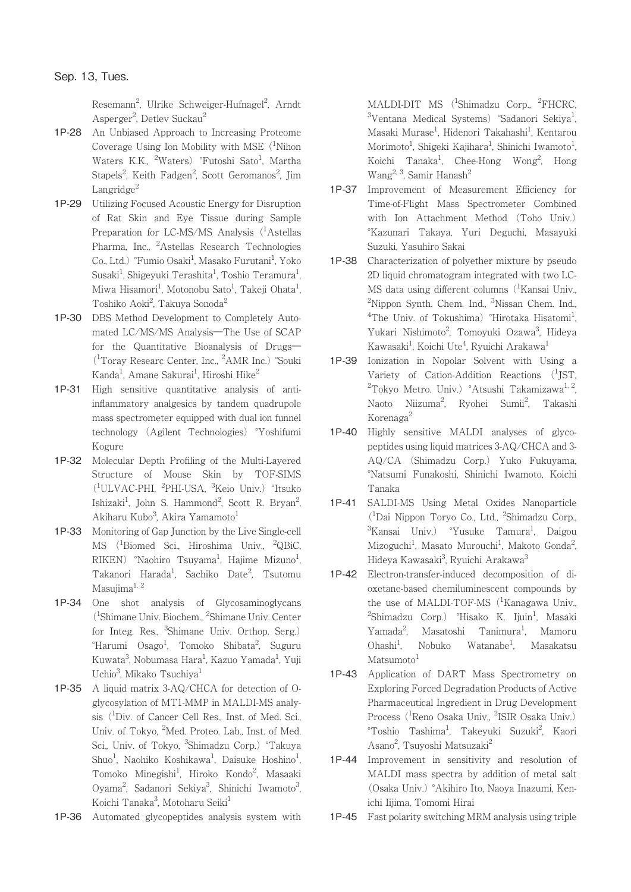Resemann<sup>2</sup>, Ulrike Schweiger-Hufnagel<sup>2</sup>, Arndt Asperger<sup>2</sup>, Detlev Suckau<sup>2</sup>

- 1P-28 An Unbiased Approach to Increasing Proteome Coverage Using Ion Mobility with MSE  $(^1$ Nihon Waters K.K., <sup>2</sup>Waters) °Futoshi Sato<sup>1</sup>, Martha Stapels<sup>2</sup>, Keith Fadgen<sup>2</sup>, Scott Geromanos<sup>2</sup>, Jim Langridge $^2$
- 1P-29 Utilizing Focused Acoustic Energy for Disruption of Rat Skin and Eye Tissue during Sample Preparation for LC-MS/MS Analysis (<sup>1</sup>Astellas Pharma, Inc., <sup>2</sup>Astellas Research Technologies Co., Ltd.) °Fumio Osaki<sup>1</sup>, Masako Furutani<sup>1</sup>, Yoko Susaki<sup>1</sup>, Shigeyuki Terashita<sup>1</sup>, Toshio Teramura<sup>1</sup> , Miwa Hisamori<sup>1</sup>, Motonobu Sato<sup>1</sup>, Takeji Ohata<sup>1</sup> , Toshiko Aoki<sup>2</sup>, Takuya Sonoda<sup>2</sup>
- 1P-30 DBS Method Development to Completely Automated LC/MS/MS Analysis―The Use of SCAP for the Quantitative Bioanalysis of Drugs― (1 Toray Researc Center, Inc., <sup>2</sup> AMR Inc.) °Souki Kanda<sup>1</sup>, Amane Sakurai<sup>1</sup>, Hiroshi Hike<sup>2</sup>
- 1P-31 High sensitive quantitative analysis of antiinflammatory analgesics by tandem quadrupole mass spectrometer equipped with dual ion funnel technology (Agilent Technologies) °Yoshifumi Kogure
- 1P-32 Molecular Depth Profiling of the Multi-Layered Structure of Mouse Skin by TOF-SIMS (1 ULVAC-PHI, <sup>2</sup> PHI-USA, <sup>3</sup> Keio Univ.) °Itsuko Ishizaki<sup>1</sup>, John S. Hammond<sup>2</sup>, Scott R. Bryan<sup>2</sup> , Akiharu Kubo<sup>3</sup>, Akira Yamamoto<sup>1</sup>
- 1P-33 Monitoring of Gap Junction by the Live Single-cell MS (1 Biomed Sci., Hiroshima Univ., <sup>2</sup> QBiC, RIKEN) °Naohiro Tsuyama<sup>1</sup>, Hajime Mizuno<sup>1</sup> , Takanori Harada<sup>1</sup>, Sachiko Date<sup>2</sup>, Tsutomu Masujima<sup>1, 2</sup>
- 1P-34 One shot analysis of Glycosaminoglycans (1 Shimane Univ. Biochem., <sup>2</sup> Shimane Univ. Center for Integ. Res., <sup>3</sup>Shimane Univ. Orthop. Serg.)  $\,{}^{\circ}$ Harumi Osago $^1$ , Tomoko Shibata $^2$ , Suguru Kuwata<sup>3</sup>, Nobumasa Hara<sup>1</sup>, Kazuo Yamada<sup>1</sup>, Yuji Uchio<sup>3</sup>, Mikako Tsuchiya<sup>1</sup>
- 1P-35 A liquid matrix 3-AQ/CHCA for detection of Oglycosylation of MT1-MMP in MALDI-MS analysis (<sup>1</sup> Div. of Cancer Cell Res., Inst. of Med. Sci., Univ. of Tokyo, <sup>2</sup>Med. Proteo. Lab., Inst. of Med. Sci., Univ. of Tokyo, <sup>3</sup>Shimadzu Corp.) °Takuya Shuo<sup>1</sup>, Naohiko Koshikawa<sup>1</sup>, Daisuke Hoshino<sup>1</sup> , Tomoko Minegishi<sup>1</sup>, Hiroko Kondo<sup>2</sup>, Masaaki Oyama<sup>2</sup>, Sadanori Sekiya<sup>3</sup>, Shinichi Iwamoto<sup>3</sup> .<br>י Koichi Tanaka<sup>3</sup>, Motoharu Seiki<sup>1</sup>
- 1P-36 Automated glycopeptides analysis system with

MALDI-DIT MS (<sup>1</sup>Shimadzu Corp., <sup>2</sup>FHCRC, <sup>3</sup>Ventana Medical Systems) °Sadanori Sekiya<sup>1</sup> , Masaki Murase<sup>1</sup>, Hidenori Takahashi<sup>1</sup>, Kentarou Morimoto<sup>1</sup>, Shigeki Kajihara<sup>1</sup>, Shinichi Iwamoto<sup>1</sup> , Koichi Tanaka<sup>1</sup>, Chee-Hong Wong<sup>2</sup>, Hong Wang<sup>2, 3</sup>, Samir Hanash<sup>2</sup>

- 1P-37 Improvement of Measurement Efficiency for Time-of-Flight Mass Spectrometer Combined with Ion Attachment Method (Toho Univ.) °Kazunari Takaya, Yuri Deguchi, Masayuki Suzuki, Yasuhiro Sakai
- 1P-38 Characterization of polyether mixture by pseudo 2D liquid chromatogram integrated with two LC-MS data using different columns (<sup>1</sup>Kansai Univ., <sup>2</sup>Nippon Synth. Chem. Ind., <sup>3</sup>Nissan Chem. Ind., <sup>4</sup>The Univ. of Tokushima) °Hirotaka Hisatomi<sup>1</sup> , Yukari Nishimoto<sup>2</sup>, Tomoyuki Ozawa<sup>3</sup>, Hideya Kawasaki<sup>1</sup>, Koichi Ute<sup>4</sup>, Ryuichi Arakawa<sup>1</sup>
- 1P-39 Ionization in Nopolar Solvent with Using a Variety of Cation-Addition Reactions (<sup>1</sup>JST, <sup>2</sup>Tokyo Metro. Univ.) °Atsushi Takamizawa<sup>1, 2</sup>, Naoto Niizuma<sup>2</sup>, Ryohei Sumii<sup>2</sup>, Takashi Korenaga<sup>2</sup>
- 1P-40 Highly sensitive MALDI analyses of glycopeptides using liquid matrices 3-AQ/CHCA and 3- AQ/CA (Shimadzu Corp.) Yuko Fukuyama, °Natsumi Funakoshi, Shinichi Iwamoto, Koichi Tanaka
- 1P-41 SALDI-MS Using Metal Oxides Nanoparticle (1 Dai Nippon Toryo Co., Ltd., <sup>2</sup> Shimadzu Corp., <sup>3</sup>Kansai Univ.) °Yusuke Tamura<sup>1</sup>, Daigou Mizoguchi<sup>1</sup>, Masato Murouchi<sup>1</sup>, Makoto Gonda<sup>2</sup> ;<br>; Hideya Kawasaki<sup>3</sup>, Ryuichi Arakawa<sup>3</sup>
- 1P-42 Electron-transfer-induced decomposition of dioxetane-based chemiluminescent compounds by the use of MALDI-TOF-MS (<sup>1</sup>Kanagawa Univ., <sup>2</sup>Shimadzu Corp.) °Hisako K. Ijuin<sup>1</sup>, Masaki Yamada<sup>2</sup>. Masatoshi Tanimura<sup>1</sup>, , Mamoru  $Ohashi<sup>1</sup>$ . Nobuko Watanabe<sup>1</sup>. , Masakatsu  $M$ atsumoto $<sup>1</sup>$ </sup>
- 1P-43 Application of DART Mass Spectrometry on Exploring Forced Degradation Products of Active Pharmaceutical Ingredient in Drug Development Process (<sup>1</sup>Reno Osaka Univ., <sup>2</sup>ISIR Osaka Univ.) °Toshio Tashima<sup>1</sup>, Takeyuki Suzuki<sup>2</sup>, Kaori Asano<sup>2</sup>, Tsuyoshi Matsuzaki<sup>2</sup>
- 1P-44 Improvement in sensitivity and resolution of MALDI mass spectra by addition of metal salt (Osaka Univ.) °Akihiro Ito, Naoya Inazumi, Kenichi Iijima, Tomomi Hirai
- 1P-45 Fast polarity switching MRM analysis using triple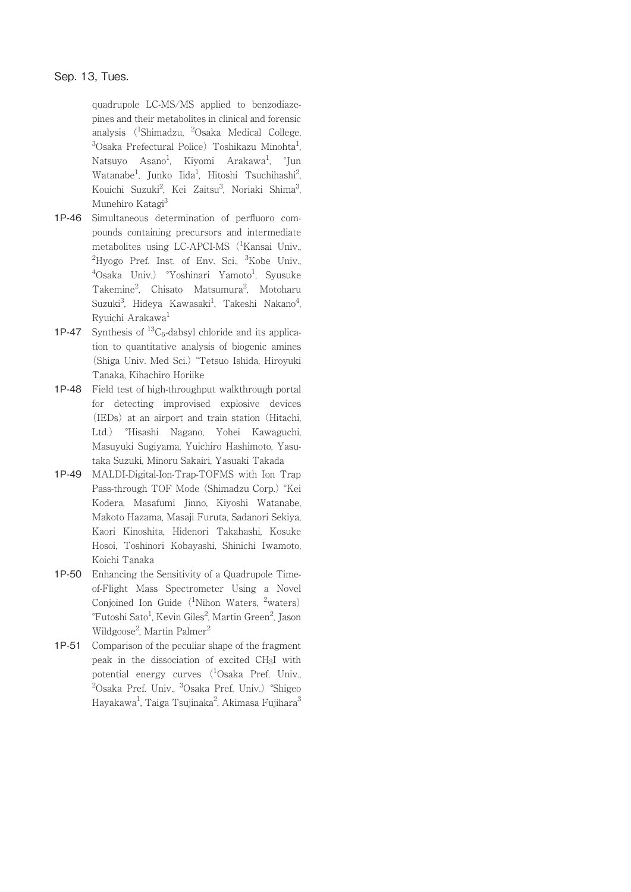# Sep. 13, Tues.

quadrupole LC-MS/MS applied to benzodiazepines and their metabolites in clinical and forensic analysis (<sup>1</sup>Shimadzu, <sup>2</sup>Osaka Medical College, <sup>3</sup>Osaka Prefectural Police) Toshikazu Minohta<sup>1</sup> , Natsuyo Asano<sup>1</sup>, Kiyomi Arakawa<sup>1</sup>, °Jun Watanabe<sup>1</sup>, Junko Iida<sup>1</sup>, Hitoshi Tsuchihashi<sup>2</sup> .<br>, Kouichi Suzuki<sup>2</sup>, Kei Zaitsu<sup>3</sup>, Noriaki Shima<sup>3</sup> .<br>י Munehiro Katagi<sup>3</sup>

- 1P-46 Simultaneous determination of perfluoro compounds containing precursors and intermediate metabolites using LC-APCI-MS (<sup>1</sup>Kansai Univ., <sup>2</sup>Hyogo Pref. Inst. of Env. Sci., <sup>3</sup>Kobe Univ., <sup>4</sup>Osaka Univ.) °Yoshinari Yamoto<sup>1</sup>, Syusuke Takemine<sup>2</sup>, Chisato Matsumura<sup>2</sup>, Motoharu Suzuki $^3$ , Hideya Kawasaki $^1$ , Takeshi Nakano $^4$ , Ryuichi Arakawa<sup>1</sup>
- 1P-47 Synthesis of  ${}^{13}C_6$ -dabsyl chloride and its application to quantitative analysis of biogenic amines (Shiga Univ. Med Sci.) °Tetsuo Ishida, Hiroyuki Tanaka, Kihachiro Horiike
- 1P-48 Field test of high-throughput walkthrough portal for detecting improvised explosive devices (IEDs) at an airport and train station (Hitachi, Ltd.) °Hisashi Nagano, Yohei Kawaguchi, Masuyuki Sugiyama, Yuichiro Hashimoto, Yasutaka Suzuki, Minoru Sakairi, Yasuaki Takada
- 1P-49 MALDI-Digital-Ion-Trap-TOFMS with Ion Trap Pass-through TOF Mode (Shimadzu Corp.) °Kei Kodera, Masafumi Jinno, Kiyoshi Watanabe, Makoto Hazama, Masaji Furuta, Sadanori Sekiya, Kaori Kinoshita, Hidenori Takahashi, Kosuke Hosoi, Toshinori Kobayashi, Shinichi Iwamoto, Koichi Tanaka
- 1P-50 Enhancing the Sensitivity of a Quadrupole Timeof-Flight Mass Spectrometer Using a Novel Conjoined Ion Guide (<sup>1</sup>Nihon Waters, <sup>2</sup>waters) °Futoshi Sato<sup>1</sup>, Kevin Giles<sup>2</sup>, Martin Green<sup>2</sup>, Jason Wildgoose<sup>2</sup>, Martin Palmer<sup>2</sup>
- 1P-51 Comparison of the peculiar shape of the fragment peak in the dissociation of excited CH3I with potential energy curves (<sup>1</sup>Osaka Pref. Univ., <sup>2</sup>Osaka Pref. Univ., <sup>3</sup>Osaka Pref. Univ.) °Shigeo Hayakawa<sup>1</sup>, Taiga Tsujinaka<sup>2</sup>, Akimasa Fujihara<sup>3</sup>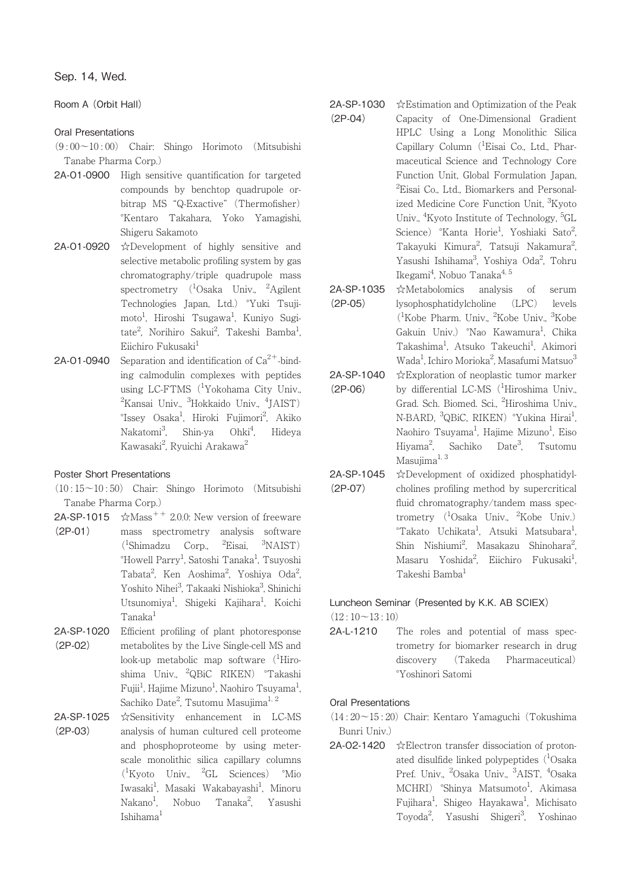# Room A (Orbit Hall)

## Oral Presentations

(9 : 00~10 : 00) Chair: Shingo Horimoto (Mitsubishi Tanabe Pharma Corp.)

- 2A-O1-0900 High sensitive quantification for targeted compounds by benchtop quadrupole orbitrap MS "Q-Exactive" (Thermofisher) °Kentaro Takahara, Yoko Yamagishi, Shigeru Sakamoto
- 2A-O1-0920 ☆Development of highly sensitive and selective metabolic profiling system by gas chromatography/triple quadrupole mass spectrometry (<sup>1</sup>Osaka Univ., <sup>2</sup>Agilent Technologies Japan, Ltd.) °Yuki Tsujimoto<sup>1</sup>, Hiroshi Tsugawa<sup>1</sup>, Kuniyo Sugitate<sup>2</sup>, Norihiro Sakui<sup>2</sup>, Takeshi Bamba<sup>1</sup> ,  $Eiichiro$  Fukusaki $<sup>1</sup>$ </sup>
- **2A-O1-0940** Separation and identification of  $Ca^{2+}$ -binding calmodulin complexes with peptides using LC-FTMS (<sup>1</sup>Yokohama City Univ., <sup>2</sup>Kansai Univ., <sup>3</sup>Hokkaido Univ., <sup>4</sup>JAIST) °Issey Osaka<sup>1</sup>, Hiroki Fujimori<sup>2</sup>, Akiko Nakatomi<sup>3</sup>, Shin-ya Ohki<sup>4</sup> Ohki<sup>4</sup>, Hideya Kawasaki<sup>2</sup>, Ryuichi Arakawa<sup>2</sup>

# Poster Short Presentations

- (10 : 15~10 : 50) Chair: Shingo Horimoto (Mitsubishi Tanabe Pharma Corp.)
- $2A$ -SP-1015  $\quad \times$ Mass<sup>++</sup> 2.0.0: New version of freeware (2P-01) mass spectrometry analysis software (1 Shimadzu Corp., <sup>2</sup> Eisai, <sup>3</sup> NAIST) °Howell Parry<sup>1</sup>, Satoshi Tanaka<sup>1</sup>, Tsuyoshi Tabata<sup>2</sup>, Ken Aoshima<sup>2</sup>, Yoshiya Oda<sup>2</sup> , Yoshito Nihei<sup>3</sup>, Takaaki Nishioka<sup>3</sup>, Shinichi Utsunomiya<sup>1</sup>, Shigeki Kajihara<sup>1</sup>, Koichi Tanaka1
- 2A-SP-1020 (2P-02) Efficient profiling of plant photoresponse metabolites by the Live Single-cell MS and look-up metabolic map software (<sup>1</sup>Hiroshima Univ., <sup>2</sup>QBiC RIKEN) °Takashi Fujii<sup>1</sup>, Hajime Mizuno<sup>1</sup>, Naohiro Tsuyama<sup>1</sup> , Sachiko Date<sup>2</sup>, Tsutomu Masujima<sup>1, 2</sup>
- 2A-SP-1025 (2P-03) ☆Sensitivity enhancement in LC-MS analysis of human cultured cell proteome and phosphoproteome by using meterscale monolithic silica capillary columns (1 Kyoto Univ., <sup>2</sup> GL Sciences) °Mio Iwasaki<sup>1</sup>, Masaki Wakabayashi<sup>1</sup>, Minoru  $Nakano<sup>1</sup>$ . , Nobuo Tanaka<sup>2</sup>, Yasushi Ishihama1
- 2A-SP-1030 (2P-04) ☆Estimation and Optimization of the Peak Capacity of One-Dimensional Gradient HPLC Using a Long Monolithic Silica Capillary Column (<sup>1</sup>Eisai Co., Ltd., Pharmaceutical Science and Technology Core Function Unit, Global Formulation Japan, <sup>2</sup>Eisai Co., Ltd., Biomarkers and Personalized Medicine Core Function Unit, <sup>3</sup>Kyoto Univ., <sup>4</sup>Kyoto Institute of Technology, <sup>5</sup>GL Science) °Kanta Horie<sup>1</sup>, Yoshiaki Sato<sup>2</sup> ;<br>; Takayuki Kimura<sup>2</sup>, Tatsuji Nakamura<sup>2</sup> , Yasushi Ishihama<sup>3</sup>, Yoshiya Oda<sup>2</sup>, Tohru Ikegami<sup>4</sup>, Nobuo Tanaka<sup>4, 5</sup>
- 2A-SP-1035 (2P-05) ☆Metabolomics analysis of serum lysophosphatidylcholine (LPC) levels (1 Kobe Pharm. Univ., <sup>2</sup> Kobe Univ., <sup>3</sup> Kobe Gakuin Univ.) °Nao Kawamura<sup>1</sup>, Chika Takashima<sup>1</sup>, Atsuko Takeuchi<sup>1</sup>, Akimori Wada<sup>1</sup>, Ichiro Morioka<sup>2</sup>, Masafumi Matsuo3
- 2A-SP-1040 (2P-06) ☆Exploration of neoplastic tumor marker by differential LC-MS (<sup>1</sup>Hiroshima Univ., Grad. Sch. Biomed. Sci., <sup>2</sup>Hiroshima Univ., N-BARD, <sup>3</sup>QBiC, RIKEN) °Yukina Hirai<sup>1</sup> , Naohiro Tsuyama<sup>1</sup>, Hajime Mizuno<sup>1</sup>, Eiso Hiyama<sup>2</sup>. , Sachiko Date3 , Tsutomu Masujima $^{1, 3}$
- 2A-SP-1045 (2P-07) ☆Development of oxidized phosphatidylcholines profiling method by supercritical fluid chromatography/tandem mass spectrometry (<sup>1</sup>Osaka Univ., <sup>2</sup>Kobe Univ.) °Takato Uchikata<sup>1</sup>, Atsuki Matsubara<sup>1</sup> , Shin Nishiumi<sup>2</sup>, Masakazu Shinohara<sup>2</sup> ;<br>; Masaru Yoshida<sup>2</sup>, Eiichiro Fukusaki<sup>1</sup> , Takeshi Bamba<sup>1</sup>

# Luncheon Seminar (Presented by K.K. AB SCIEX)

 $(12:10~13:10)$ 

2A-L-1210 The roles and potential of mass spectrometry for biomarker research in drug discovery (Takeda Pharmaceutical) °Yoshinori Satomi

## Oral Presentations

# (14 : 20~15 : 20) Chair: Kentaro Yamaguchi (Tokushima Bunri Univ.)

2A-O2-1420 ☆Electron transfer dissociation of protonated disulfide linked polypeptides (<sup>1</sup>Osaka Pref. Univ., <sup>2</sup>Osaka Univ., <sup>3</sup>AIST, <sup>4</sup>Osaka MCHRI) °Shinya Matsumoto<sup>1</sup>, Akimasa Fujihara<sup>1</sup>, Shigeo Hayakawa<sup>1</sup>, Michisato Toyoda<sup>2</sup>, Yasushi Shigeri<sup>3</sup>, Yoshinac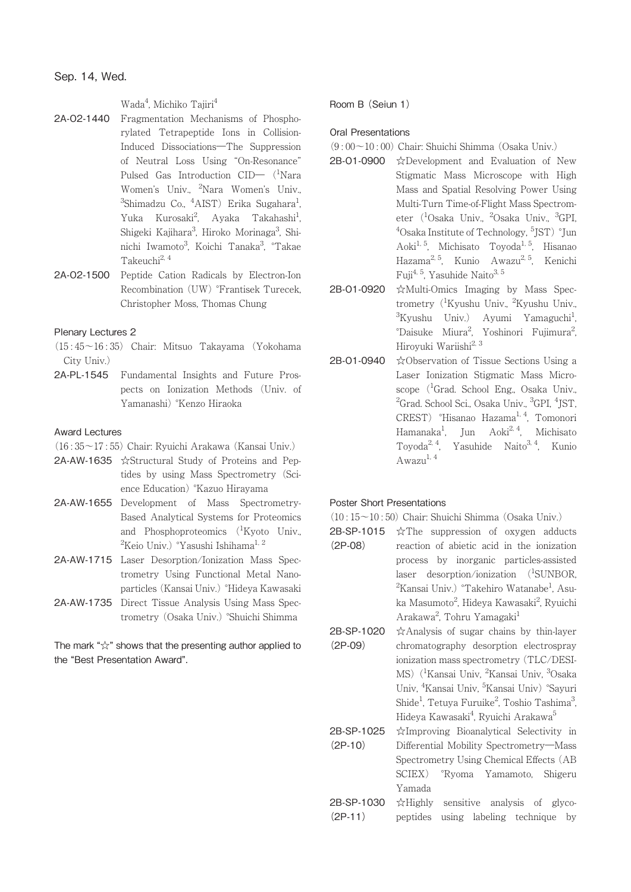Wada<sup>4</sup>, Michiko Tajiri<sup>4</sup>

- 2A-O2-1440 Fragmentation Mechanisms of Phosphorylated Tetrapeptide Ions in Collision-Induced Dissociations―The Suppression of Neutral Loss Using "On-Resonance" Pulsed Gas Introduction CID— (<sup>1</sup>Nara Women's Univ., <sup>2</sup>Nara Women's Univ.,  ${}^{3}$ Shimadzu Co.,  ${}^{4}$ AIST) Erika Sugahara ${}^{1}$ , Yuka Kurosaki<sup>2</sup>, Ayaka Takahashi<sup>1</sup> , Shigeki Kajihara<sup>3</sup>, Hiroko Morinaga<sup>3</sup>, Shinichi Iwamoto<sup>3</sup>, Koichi Tanaka<sup>3</sup>, °Takae Takeuchi<sup>2, 4</sup>
- 2A-O2-1500 Peptide Cation Radicals by Electron-Ion Recombination (UW) °Frantisek Turecek, Christopher Moss, Thomas Chung

#### Plenary Lectures 2

- (15 : 45~16 : 35) Chair: Mitsuo Takayama (Yokohama City Univ.)
- 2A-PL-1545 Fundamental Insights and Future Prospects on Ionization Methods (Univ. of Yamanashi) °Kenzo Hiraoka

#### Award Lectures

- (16 : 35~17 : 55) Chair: Ryuichi Arakawa (Kansai Univ.)
- 2A-AW-1635 ☆Structural Study of Proteins and Peptides by using Mass Spectrometry (Science Education) °Kazuo Hirayama
- 2A-AW-1655 Development of Mass Spectrometry-Based Analytical Systems for Proteomics and Phosphoproteomics (<sup>1</sup>Kyoto Univ.,  $^{2}$ Keio Univ.)  $^{\circ}$ Yasushi Ishihama $^{1,\,2}$
- 2A-AW-1715 Laser Desorption/Ionization Mass Spectrometry Using Functional Metal Nanoparticles (Kansai Univ.) °Hideya Kawasaki
- 2A-AW-1735 Direct Tissue Analysis Using Mass Spectrometry (Osaka Univ.) °Shuichi Shimma

The mark "☆" shows that the presenting author applied to the "Best Presentation Award".

Room B (Seiun 1)

#### Oral Presentations

- $(9.00~10.00)$  Chair: Shuichi Shimma (Osaka Univ.)
- 2B-O1-0900 ☆Development and Evaluation of New Stigmatic Mass Microscope with High Mass and Spatial Resolving Power Using Multi-Turn Time-of-Flight Mass Spectrometer (<sup>1</sup>Osaka Univ., <sup>2</sup>Osaka Univ., <sup>3</sup>GPI, <sup>4</sup>Osaka Institute of Technology, <sup>5</sup>JST) °Jun Aoki<sup>1, 5</sup>, Michisato Toyoda<sup>1, 5</sup>, Hisanao Hazama2, 5, Kunio Awazu2, 5, Kenichi Fuji<sup>4, 5</sup>, Yasuhide Naito<sup>3, 5</sup>
- 2B-O1-0920 ☆Multi-Omics Imaging by Mass Spectrometry (<sup>1</sup>Kyushu Univ., <sup>2</sup>Kyushu Univ., <sup>3</sup>Kyushu Univ.) Ayumi Yamaguchi<sup>1</sup> , °Daisuke Miura<sup>2</sup>, Yoshinori Fujimura<sup>2</sup> ;<br>; Hiroyuki Wariishi<sup>2, 3</sup>
- 2B-O1-0940 ☆Observation of Tissue Sections Using a Laser Ionization Stigmatic Mass Microscope (<sup>1</sup>Grad. School Eng., Osaka Univ., <sup>2</sup>Grad. School Sci., Osaka Univ., <sup>3</sup>GPI, <sup>4</sup>JST, CREST) °Hisanao Hazama<sup>1, 4</sup>, Tomonori Hamanaka<sup>1</sup>, Jun Aoki<sup>2, 4</sup>, Michisato Toyoda<sup>2, 4</sup>, Yasuhide Naito<sup>3, 4</sup>, Kunio  $A$ wazu<sup>1, 4</sup>

## Poster Short Presentations

 $(10:15\sim10:50)$  Chair: Shuichi Shimma (Osaka Univ.)

- **2B-SP-1015**  $\hat{\mathcal{X}}$ The suppression of oxygen adducts (2P-08) reaction of abietic acid in the ionization process by inorganic particles-assisted laser desorption/ionization (<sup>1</sup>SUNBOR, <sup>2</sup>Kansai Univ.) °Takehiro Watanabe<sup>1</sup>, Asuka Masumoto<sup>2</sup>, Hideya Kawasaki<sup>2</sup>, Ryuichi Arakawa<sup>2</sup>, Tohru Yamagaki<sup>1</sup>
- 2B-SP-1020 (2P-09) ☆Analysis of sugar chains by thin-layer chromatography desorption electrospray ionization mass spectrometry (TLC/DESI-MS) (<sup>1</sup>Kansai Univ, <sup>2</sup>Kansai Univ, <sup>3</sup>Osaka Univ, <sup>4</sup>Kansai Univ, <sup>5</sup>Kansai Univ) °Sayuri Shide<sup>1</sup>, Tetuya Furuike<sup>2</sup>, Toshio Tashima<sup>3</sup> , Hideya Kawasaki<sup>4</sup>, Ryuichi Arakawa<sup>5</sup>
- 2B-SP-1025 (2P-10) ☆Improving Bioanalytical Selectivity in Differential Mobility Spectrometry―Mass Spectrometry Using Chemical Effects (AB SCIEX) °Ryoma Yamamoto, Shigeru Yamada
- 2B-SP-1030 (2P-11) ☆Highly sensitive analysis of glycopeptides using labeling technique by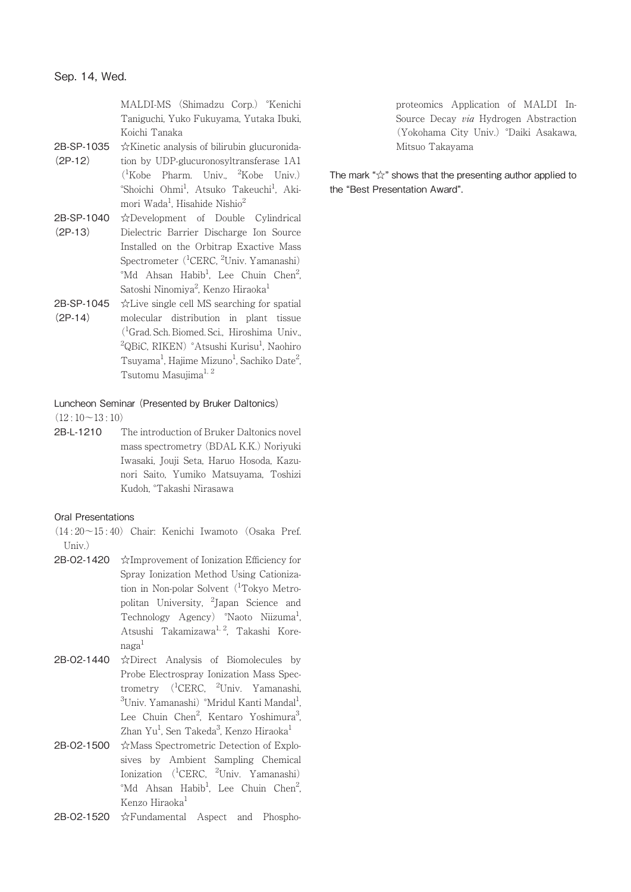MALDI-MS (Shimadzu Corp.) °Kenichi Taniguchi, Yuko Fukuyama, Yutaka Ibuki, Koichi Tanaka

- 2B-SP-1035 ☆Kinetic analysis of bilirubin glucuronida-(2P-12) tion by UDP-glucuronosyltransferase 1A1 (1 Kobe Pharm. Univ., <sup>2</sup> Kobe Univ.) °Shoichi Ohmi<sup>1</sup>, Atsuko Takeuchi<sup>1</sup>, Akimori Wada<sup>1</sup>, Hisahide Nishio<sup>2</sup>
- 2B-SP-1040 (2P-13) ☆Development of Double Cylindrical Dielectric Barrier Discharge Ion Source Installed on the Orbitrap Exactive Mass Spectrometer (<sup>1</sup>CERC, <sup>2</sup>Univ. Yamanashi) <sup>o</sup>Md Ahsan Habib<sup>1</sup>, Lee Chuin Chen<sup>2</sup> , Satoshi Ninomiya<sup>2</sup>, Kenzo Hiraoka<sup>1</sup>
- 2B-SP-1045 (2P-14) ☆Live single cell MS searching for spatial molecular distribution in plant tissue (1 Grad. Sch. Biomed. Sci., Hiroshima Univ., <sup>2</sup>QBiC, RIKEN) °Atsushi Kurisu<sup>1</sup>, Naohiro Tsuyama<sup>1</sup>, Hajime Mizuno<sup>1</sup>, Sachiko Date<sup>2</sup> , Tsutomu Masujima<sup>1, 2</sup>

#### Luncheon Seminar (Presented by Bruker Daltonics)

 $(12:10~13:10)$ 

2B-L-1210 The introduction of Bruker Daltonics novel mass spectrometry (BDAL K.K.) Noriyuki Iwasaki, Jouji Seta, Haruo Hosoda, Kazunori Saito, Yumiko Matsuyama, Toshizi Kudoh, °Takashi Nirasawa

#### Oral Presentations

- (14 : 20~15 : 40) Chair: Kenichi Iwamoto (Osaka Pref. Univ.)
- 2B-O2-1420 ☆Improvement of Ionization Efficiency for Spray Ionization Method Using Cationization in Non-polar Solvent (<sup>1</sup>Tokyo Metropolitan University, <sup>2</sup> Japan Science and Technology Agency) °Naoto Niizuma<sup>1</sup>, , Atsushi Takamizawa<sup>1, 2</sup>, Takashi Kore $n$ aga<sup>1</sup>
- 2B-O2-1440 ☆Direct Analysis of Biomolecules by Probe Electrospray Ionization Mass Spectrometry (<sup>1</sup>CERC, <sup>2</sup>Univ. Yamanashi,  $\rm ^3$ Univ. Yamanashi)  $\rm ^\circ$ Mridul Kanti Mandal $\rm ^1$ , Lee Chuin Chen<sup>2</sup>, Kentaro Yoshimura<sup>3</sup> .<br>, Zhan Yu<sup>1</sup>, Sen Takeda<sup>3</sup>, Kenzo Hiraoka<sup>1</sup>
- 2B-O2-1500 ☆Mass Spectrometric Detection of Explosives by Ambient Sampling Chemical Ionization (<sup>1</sup>CERC, <sup>2</sup>Univ. Yamanashi) <sup>o</sup>Md Ahsan Habib<sup>1</sup>, Lee Chuin Chen<sup>2</sup> .<br>, Kenzo Hiraoka<sup>1</sup>
- 2B-O2-1520 ☆Fundamental Aspect and Phospho-

proteomics Application of MALDI In-Source Decay via Hydrogen Abstraction (Yokohama City Univ.) °Daiki Asakawa, Mitsuo Takayama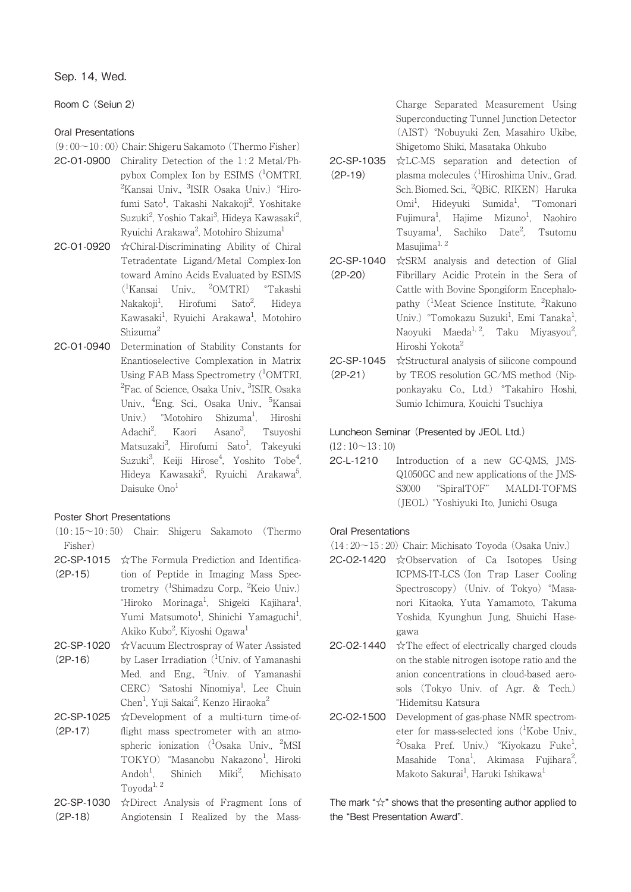Room C (Seiun 2)

# Oral Presentations

- (9 : 00~10 : 00) Chair: Shigeru Sakamoto (Thermo Fisher)
- 2C-O1-0900 Chirality Detection of the 1 : 2 Metal/Phpybox Complex Ion by ESIMS (<sup>1</sup>OMTRI, <sup>2</sup>Kansai Univ., <sup>3</sup>ISIR Osaka Univ.) °Hirofumi Sato<sup>1</sup>, Takashi Nakakoji<sup>2</sup>, Yoshitake Suzuki<sup>2</sup>, Yoshio Takai<sup>3</sup>, Hideya Kawasaki<sup>2</sup> .<br>, Ryuichi Arakawa<sup>2</sup>, Motohiro Shizuma<sup>1</sup>
- 2C-O1-0920 ☆Chiral-Discriminating Ability of Chiral Tetradentate Ligand/Metal Complex-Ion toward Amino Acids Evaluated by ESIMS  $(^1$ Kansai Univ.,  $^2$ OMTRI) °Takashi  $Nakabi<sup>1</sup>$ . Hirofumi Sato<sup>2</sup>, , Hideya Kawasaki<sup>1</sup>, Ryuichi Arakawa<sup>1</sup>, Motohiro Shizuma2
- 2C-O1-0940 Determination of Stability Constants for Enantioselective Complexation in Matrix Using FAB Mass Spectrometry (<sup>1</sup>OMTRI, <sup>2</sup>Fac. of Science, Osaka Univ., <sup>3</sup>ISIR, Osaka Univ., <sup>4</sup>Eng. Sci., Osaka Univ., <sup>5</sup>Kansai Univ.) °Motohiro Shizuma<sup>1</sup>, Hiroshi Adachi2 Kaori Asano<sup>3</sup>, , Tsuyoshi Matsuzaki<sup>3</sup>, Hirofumi Sato<sup>1</sup>, Takeyuki Suzuki<sup>3</sup>, Keiji Hirose<sup>4</sup>, Yoshito Tobe<sup>4</sup> , Hideya Kawasaki<sup>5</sup>, Ryuichi Arakawa<sup>5</sup> .<br>, Daisuke Ono<sup>1</sup>

# Poster Short Presentations

- $(10:15\sim10:50)$  Chair: Shigeru Sakamoto (Thermo Fisher)
- 2C-SP-1015 (2P-15) ☆The Formula Prediction and Identification of Peptide in Imaging Mass Spectrometry (<sup>1</sup>Shimadzu Corp., <sup>2</sup>Keio Univ.) °Hiroko Morinaga<sup>1</sup>, Shigeki Kajihara<sup>1</sup> , Yumi Matsumoto<sup>1</sup>, Shinichi Yamaguchi<sup>1</sup> , Akiko Kubo<sup>2</sup>, Kiyoshi Ogawa<sup>1</sup>
- 2C-SP-1020 ☆Vacuum Electrospray of Water Assisted (2P-16) by Laser Irradiation (<sup>1</sup>Univ. of Yamanashi Med. and Eng., <sup>2</sup>Univ. of Yamanashi CERC) °Satoshi Ninomiya<sup>1</sup>, Lee Chuin Chen<sup>1</sup>, Yuji Sakai<sup>2</sup>, Kenzo Hiraoka<sup>2</sup>
- 2C-SP-1025 (2P-17) ☆Development of a multi-turn time-offlight mass spectrometer with an atmospheric ionization (<sup>1</sup>Osaka Univ., <sup>2</sup>MSI TOKYO) °Masanobu Nakazono<sup>1</sup>, Hiroki  $Andoh<sup>1</sup>$ . Shinich Miki<sup>2</sup>. , Michisato  $\operatorname{Toyoda}^{1,\;2}$
- 2C-SP-1030 (2P-18) ☆Direct Analysis of Fragment Ions of Angiotensin I Realized by the Mass-

Charge Separated Measurement Using Superconducting Tunnel Junction Detector (AIST) °Nobuyuki Zen, Masahiro Ukibe, Shigetomo Shiki, Masataka Ohkubo

- 2C-SP-1035 (2P-19) ☆LC-MS separation and detection of plasma molecules (<sup>1</sup>Hiroshima Univ., Grad. Sch. Biomed. Sci., <sup>2</sup>QBiC, RIKEN) Haruka Omi<sup>1</sup>, Hideyuki Sumida<sup>1</sup>, <sup>o</sup>Tomonari Fujimura<sup>1</sup>, Hajime Mizuno<sup>1</sup>, Naohiro Tsuyama<sup>1</sup>, Sachiko Date<sup>2</sup> , Tsutomu Masujima $^{1, 2}$
- 2C-SP-1040 (2P-20) ☆SRM analysis and detection of Glial Fibrillary Acidic Protein in the Sera of Cattle with Bovine Spongiform Encephalopathy (<sup>1</sup>Meat Science Institute, <sup>2</sup>Rakuno Univ.) °Tomokazu Suzuki<sup>1</sup>, Emi Tanaka<sup>1</sup> , Naoyuki Maeda<sup>1, 2</sup>, Taku Miyasyou<sup>2</sup>, ;<br>; Hiroshi Yokota2
- 2C-SP-1045 (2P-21) ☆Structural analysis of silicone compound by TEOS resolution GC/MS method (Nipponkayaku Co., Ltd.) °Takahiro Hoshi, Sumio Ichimura, Kouichi Tsuchiya

# Luncheon Seminar (Presented by JEOL Ltd.)

 $(12:10~13:10)$ 

2C-L-1210 Introduction of a new GC-QMS, JMS-Q1050GC and new applications of the JMS-S3000 "SpiralTOF" MALDI-TOFMS (JEOL) °Yoshiyuki Ito, Junichi Osuga

# Oral Presentations

- (14 : 20~15 : 20) Chair: Michisato Toyoda (Osaka Univ.)
- 2C-O2-1420 ☆Observation of Ca Isotopes Using ICPMS-IT-LCS (Ion Trap Laser Cooling Spectroscopy) (Univ. of Tokyo) °Masanori Kitaoka, Yuta Yamamoto, Takuma Yoshida, Kyunghun Jung, Shuichi Hasegawa
- 2C-O2-1440 ☆The effect of electrically charged clouds on the stable nitrogen isotope ratio and the anion concentrations in cloud-based aerosols (Tokyo Univ. of Agr. & Tech.) °Hidemitsu Katsura
- 2C-O2-1500 Development of gas-phase NMR spectrometer for mass-selected ions (<sup>1</sup>Kobe Univ., <sup>2</sup>Osaka Pref. Univ.) °Kiyokazu Fuke<sup>1</sup> , Masahide Tona<sup>1</sup>, Akimasa Fujihara<sup>2</sup> ;<br>; Makoto Sakurai<sup>1</sup>, Haruki Ishikawa<sup>1</sup>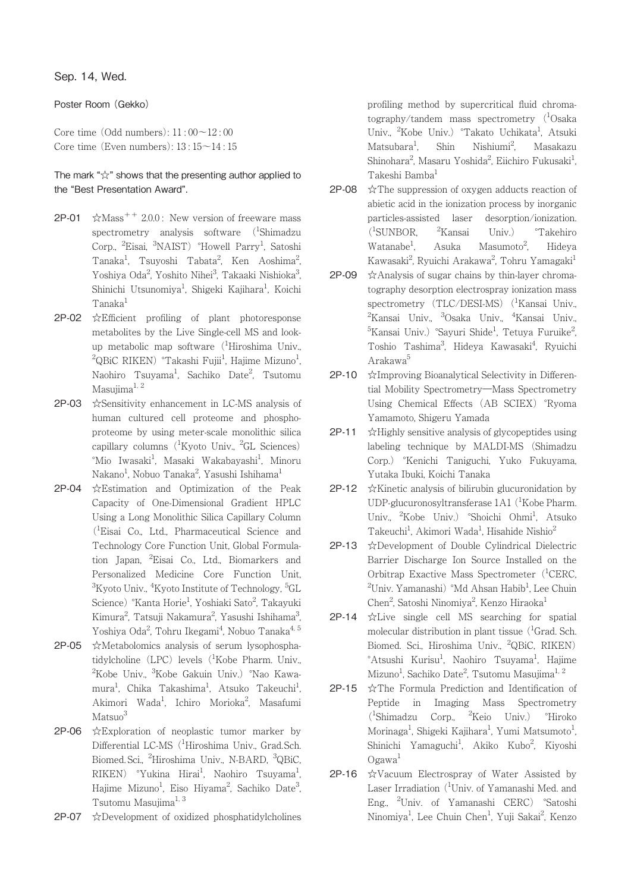Poster Room (Gekko)

Core time (Odd numbers): 11 : 00~12 : 00 Core time (Even numbers):  $13:15~14:15$ 

The mark "☆" shows that the presenting author applied to the "Best Presentation Award".

- **2P-01**  $\angle$ XMass<sup>++</sup> 2.0.0: New version of freeware mass spectrometry analysis software (<sup>1</sup>Shimadzu Corp., <sup>2</sup>Eisai, <sup>3</sup>NAIST) °Howell Parry<sup>1</sup>, Satoshi Tanaka<sup>1</sup>, Tsuyoshi Tabata<sup>2</sup>, Ken Aoshima<sup>2</sup> , Yoshiya Oda<sup>2</sup>, Yoshito Nihei<sup>3</sup>, Takaaki Nishioka<sup>3</sup> .<br>, Shinichi Utsunomiya<sup>1</sup>, Shigeki Kajihara<sup>1</sup>, Koichi Tanaka<sup>1</sup>
- 2P-02 ☆Efficient profiling of plant photoresponse metabolites by the Live Single-cell MS and lookup metabolic map software (<sup>1</sup>Hiroshima Univ.,  $^{2}$ QBiC RIKEN)  $^{\circ}$ Takashi Fujii $^{1}$ , Hajime Mizuno $^{1}$ , Naohiro Tsuyama<sup>1</sup>, Sachiko Date<sup>2</sup>, Tsutomu Masujima $1, 2$
- 2P-03 ☆Sensitivity enhancement in LC-MS analysis of human cultured cell proteome and phosphoproteome by using meter-scale monolithic silica capillary columns (<sup>1</sup>Kyoto Univ., <sup>2</sup>GL Sciences) °Mio Iwasaki<sup>1</sup>, Masaki Wakabayashi<sup>1</sup>, Minoru Nakano $^{\rm l}$ , Nobuo Tanaka $^{\rm 2}$ , Yasushi Ishihama $^{\rm l}$
- 2P-04 ☆Estimation and Optimization of the Peak Capacity of One-Dimensional Gradient HPLC Using a Long Monolithic Silica Capillary Column (1 Eisai Co., Ltd., Pharmaceutical Science and Technology Core Function Unit, Global Formulation Japan, <sup>2</sup> Eisai Co., Ltd., Biomarkers and Personalized Medicine Core Function Unit, <sup>3</sup>Kyoto Univ., <sup>4</sup>Kyoto Institute of Technology, <sup>5</sup>GL Science) °Kanta Horie<sup>1</sup>, Yoshiaki Sato<sup>2</sup>, Takayuki Kimura $^2$ , Tatsuji Nakamura $^2$ , Yasushi Ishihama $^3$ .<br>, Yoshiya Oda<sup>2</sup>, Tohru Ikegami<sup>4</sup>, Nobuo Tanaka<sup>4, 5</sup>
- 2P-05 ☆Metabolomics analysis of serum lysophosphatidylcholine (LPC) levels (<sup>1</sup>Kobe Pharm. Univ., <sup>2</sup>Kobe Univ., <sup>3</sup>Kobe Gakuin Univ.) °Nao Kawamura<sup>1</sup>, Chika Takashima<sup>1</sup>, Atsuko Takeuchi<sup>1</sup> , Akimori Wada<sup>1</sup>, Ichiro Morioka<sup>2</sup>, Masafumi Matsuo<sup>3</sup>
- 2P-06 ☆Exploration of neoplastic tumor marker by Differential LC-MS (<sup>1</sup>Hiroshima Univ., Grad.Sch. Biomed. Sci., <sup>2</sup>Hiroshima Univ., N-BARD, <sup>3</sup>QBiC, RIKEN) °Yukina Hirai<sup>1</sup>, Naohiro Tsuyama<sup>1</sup> , Hajime Mizuno<sup>1</sup>, Eiso Hiyama<sup>2</sup>, Sachiko Date<sup>3</sup> .<br>י Tsutomu Masujima<sup>1, 3</sup>
- 2P-07 ☆Development of oxidized phosphatidylcholines

profiling method by supercritical fluid chromatography/tandem mass spectrometry (<sup>1</sup>Osaka Univ., <sup>2</sup>Kobe Univ.) °Takato Uchikata<sup>1</sup>, Atsuki  $Matsubara<sup>1</sup>$  $\sin$  Nishiumi<sup>2</sup> , Masakazu Shinohara<sup>2</sup>, Masaru Yoshida<sup>2</sup>, Eiichiro Fukusaki<sup>1</sup> , Takeshi Bamba<sup>1</sup>

- **2P-08**  $\angle$  The suppression of oxygen adducts reaction of abietic acid in the ionization process by inorganic particles-assisted laser desorption/ionization.  $(^1$ SUNBOR,  $^2$ <sup>2</sup>Kansai Univ.) <sup>o</sup>Takehiro  $Watanabe<sup>1</sup>$ . Asuka Masumoto<sup>2</sup>. , Hideya Kawasaki<sup>2</sup>, Ryuichi Arakawa<sup>2</sup>, Tohru Yamagaki<sup>1</sup>
- 2P-09 ☆Analysis of sugar chains by thin-layer chromatography desorption electrospray ionization mass spectrometry (TLC/DESI-MS) (<sup>1</sup>Kansai Univ., <sup>2</sup>Kansai Univ., <sup>3</sup>Osaka Univ., <sup>4</sup>Kansai Univ.,  $^{5}$ Kansai Univ.) °Sayuri Shide $^{1}$ , Tetuya Furuike $^{2}$ ;<br>; Toshio Tashima<sup>3</sup>, Hideya Kawasaki<sup>4</sup>, Ryuichi Arakawa5
- 2P-10 ☆Improving Bioanalytical Selectivity in Differential Mobility Spectrometry―Mass Spectrometry Using Chemical Effects (AB SCIEX) °Ryoma Yamamoto, Shigeru Yamada
- **2P-11**  $\angle$  Highly sensitive analysis of glycopeptides using labeling technique by MALDI-MS (Shimadzu Corp.) °Kenichi Taniguchi, Yuko Fukuyama, Yutaka Ibuki, Koichi Tanaka
- 2P-12 ☆Kinetic analysis of bilirubin glucuronidation by UDP-glucuronosyltransferase 1A1 (<sup>1</sup>Kobe Pharm. Univ., <sup>2</sup>Kobe Univ.) °Shoichi Ohmi<sup>1</sup>, Atsuko Takeuchi<sup>1</sup>, Akimori Wada<sup>1</sup>, Hisahide Nishio<sup>2</sup>
- 2P-13 ☆Development of Double Cylindrical Dielectric Barrier Discharge Ion Source Installed on the Orbitrap Exactive Mass Spectrometer (<sup>1</sup>CERC, <sup>2</sup>Univ. Yamanashi) °Md Ahsan Habib<sup>1</sup>, Lee Chuin Chen<sup>2</sup>, Satoshi Ninomiya<sup>2</sup>, Kenzo Hiraoka<sup>1</sup>
- 2P-14 ☆Live single cell MS searching for spatial molecular distribution in plant tissue (<sup>1</sup>Grad. Sch. Biomed. Sci., Hiroshima Univ., <sup>2</sup>QBiC, RIKEN) °Atsushi Kurisu<sup>1</sup>, Naohiro Tsuyama<sup>1</sup>, Hajime Mizuno<sup>1</sup>, Sachiko Date<sup>2</sup>, Tsutomu Masujima<sup>1, 2</sup>
- 2P-15 ☆The Formula Prediction and Identification of Peptide in Imaging Mass Spectrometry (1 Shimadzu Corp., <sup>2</sup> <sup>2</sup>Keio Univ.) °Hiroko Morinaga<sup>1</sup>, Shigeki Kajihara<sup>1</sup>, Yumi Matsumoto<sup>1</sup> , Shinichi Yamaguchi<sup>1</sup>, Akiko Kubo<sup>2</sup>, Kiyoshi  $Ogawa<sup>1</sup>$
- 2P-16 ☆Vacuum Electrospray of Water Assisted by Laser Irradiation (<sup>1</sup>Univ. of Yamanashi Med. and Eng., <sup>2</sup> Univ. of Yamanashi CERC) °Satoshi Ninomiya<sup>1</sup>, Lee Chuin Chen<sup>1</sup>, Yuji Sakai<sup>2</sup>, Kenzo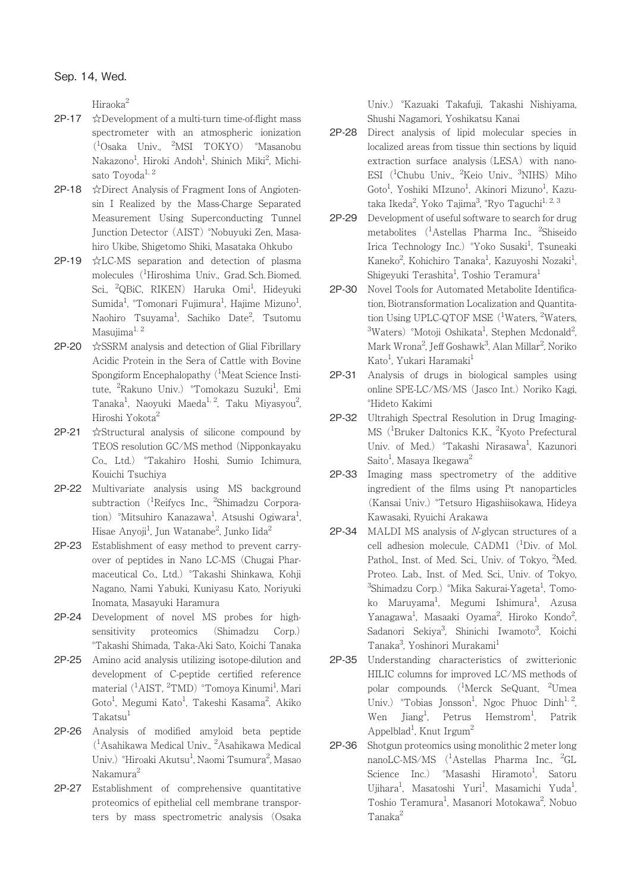Hiraoka<sup>2</sup>

- 2P-17 ☆Development of a multi-turn time-of-flight mass spectrometer with an atmospheric ionization (1 Osaka Univ., <sup>2</sup> MSI TOKYO) °Masanobu Nakazono<sup>1</sup>, Hiroki Andoh<sup>1</sup>, Shinich Miki<sup>2</sup>, Michisato Toyoda<sup>1, 2</sup>
- 2P-18 ☆Direct Analysis of Fragment Ions of Angiotensin I Realized by the Mass-Charge Separated Measurement Using Superconducting Tunnel Junction Detector (AIST) °Nobuyuki Zen, Masahiro Ukibe, Shigetomo Shiki, Masataka Ohkubo
- 2P-19 ☆LC-MS separation and detection of plasma molecules (<sup>1</sup>Hiroshima Univ., Grad. Sch. Biomed. Sci., <sup>2</sup>QBiC, RIKEN) Haruka Omi<sup>1</sup>, Hideyuki Sumida<sup>1</sup>, °Tomonari Fujimura<sup>1</sup>, Hajime Mizuno<sup>1</sup> , Naohiro Tsuyama<sup>l</sup>, Sachiko Date<sup>2</sup>, Tsutomu Masujima $1, 2$
- 2P-20 ☆SSRM analysis and detection of Glial Fibrillary Acidic Protein in the Sera of Cattle with Bovine Spongiform Encephalopathy (<sup>1</sup>Meat Science Institute, <sup>2</sup>Rakuno Univ.) °Tomokazu Suzuki<sup>1</sup>, Emi Tanaka<sup>1</sup>, Naoyuki Maeda<sup>1, 2</sup>, Taku Miyasyou<sup>2</sup> .<br>, Hiroshi Yokota<sup>2</sup>
- 2P-21 ☆Structural analysis of silicone compound by TEOS resolution GC/MS method (Nipponkayaku Co., Ltd.) °Takahiro Hoshi, Sumio Ichimura, Kouichi Tsuchiya
- 2P-22 Multivariate analysis using MS background subtraction (<sup>1</sup>Reifycs Inc., <sup>2</sup>Shimadzu Corporation) °Mitsuhiro Kanazawa<sup>1</sup>, Atsushi Ogiwara<sup>1</sup> , Hisae Anyoji<sup>1</sup>, Jun Watanabe<sup>2</sup>, Junko Iida<sup>2</sup>
- 2P-23 Establishment of easy method to prevent carryover of peptides in Nano LC-MS (Chugai Pharmaceutical Co., Ltd.) °Takashi Shinkawa, Kohji Nagano, Nami Yabuki, Kuniyasu Kato, Noriyuki Inomata, Masayuki Haramura
- 2P-24 Development of novel MS probes for highsensitivity proteomics (Shimadzu Corp.) °Takashi Shimada, Taka-Aki Sato, Koichi Tanaka
- 2P-25 Amino acid analysis utilizing isotope-dilution and development of C-peptide certified reference material (<sup>1</sup>AIST, <sup>2</sup>TMD) °Tomoya Kinumi<sup>1</sup>, Mari Goto<sup>1</sup>, Megumi Kato<sup>1</sup>, Takeshi Kasama<sup>2</sup>, Akiko  $Taking$ akatsu $<sup>1</sup>$ </sup>
- 2P-26 Analysis of modified amyloid beta peptide (1 Asahikawa Medical Univ., <sup>2</sup> Asahikawa Medical Univ.) °Hiroaki Akutsu<sup>1</sup>, Naomi Tsumura<sup>2</sup>, Masao Nakamura2
- 2P-27 Establishment of comprehensive quantitative proteomics of epithelial cell membrane transporters by mass spectrometric analysis (Osaka

Univ.) °Kazuaki Takafuji, Takashi Nishiyama, Shushi Nagamori, Yoshikatsu Kanai

- 2P-28 Direct analysis of lipid molecular species in localized areas from tissue thin sections by liquid extraction surface analysis (LESA) with nano-ESI (<sup>1</sup>Chubu Univ., <sup>2</sup>Keio Univ., <sup>3</sup>NIHS) Miho Goto<sup>1</sup>, Yoshiki MIzuno<sup>1</sup>, Akinori Mizuno<sup>1</sup>, Kazutaka Ikeda<sup>2</sup>, Yoko Tajima<sup>3</sup>, °Ryo Taguchi<sup>1, 2, 3</sup>
- 2P-29 Development of useful software to search for drug metabolites (<sup>1</sup>Astellas Pharma Inc., <sup>2</sup>Shiseido Irica Technology Inc.) °Yoko Susaki<sup>1</sup>, Tsuneaki Kaneko<sup>2</sup>, Kohichiro Tanaka<sup>1</sup>, Kazuyoshi Nozaki<sup>1</sup> , Shigeyuki Terashita<sup>1</sup>, Toshio Teramura<sup>1</sup>
- 2P-30 Novel Tools for Automated Metabolite Identification, Biotransformation Localization and Quantitation Using UPLC-QTOF MSE (<sup>1</sup>Waters, <sup>2</sup>Waters, <sup>3</sup>Waters) °Motoji Oshikata<sup>1</sup>, Stephen Mcdonald<sup>2</sup> ;<br>; Mark Wrona<sup>2</sup>, Jeff Goshawk<sup>3</sup>, Alan Millar<sup>2</sup>, Noriko Kato<sup>1</sup>, Yukari Haramaki<sup>1</sup>
- 2P-31 Analysis of drugs in biological samples using online SPE-LC/MS/MS (Jasco Int.) Noriko Kagi, °Hideto Kakimi
- 2P-32 Ultrahigh Spectral Resolution in Drug Imaging-MS (<sup>1</sup>Bruker Daltonics K.K., <sup>2</sup>Kyoto Prefectural Univ. of Med.) °Takashi Nirasawa<sup>1</sup>, Kazunori Saito<sup>1</sup>, Masaya Ikegawa<sup>2</sup>
- 2P-33 Imaging mass spectrometry of the additive ingredient of the films using Pt nanoparticles (Kansai Univ.) °Tetsuro Higashiisokawa, Hideya Kawasaki, Ryuichi Arakawa
- 2P-34 MALDI MS analysis of N-glycan structures of a cell adhesion molecule, CADM1 (<sup>1</sup>Div. of Mol. Pathol., Inst. of Med. Sci., Univ. of Tokyo, <sup>2</sup>Med. Proteo. Lab., Inst. of Med. Sci., Univ. of Tokyo, <sup>3</sup>Shimadzu Corp.) °Mika Sakurai-Yageta<sup>1</sup>, Tomoko Maruyama<sup>1</sup>, Megumi Ishimura<sup>1</sup>, Azusa Yanagawa<sup>1</sup>, Masaaki Oyama<sup>2</sup>, Hiroko Kondo<sup>2</sup> , Sadanori Sekiya<sup>3</sup>, Shinichi Iwamoto<sup>3</sup>, Koichi Tanaka<sup>3</sup>, Yoshinori Murakami<sup>1</sup>
- 2P-35 Understanding characteristics of zwitterionic HILIC columns for improved LC/MS methods of polar compounds. (<sup>1</sup>Merck SeQuant, <sup>2</sup>Umea Univ.) <sup>o</sup>Tobias Jonsson<sup>1</sup>, Ngoc Phuoc Dinh<sup>1, 2</sup>, Wen Iiang<sup>1</sup>. Petrus  $Hemstrom<sup>1</sup>$ . , Patrik Appelblad<sup>1</sup>, Knut Irgum<sup>2</sup>
- 2P-36 Shotgun proteomics using monolithic 2 meter long nanoLC-MS/MS (<sup>1</sup>Astellas Pharma Inc., <sup>2</sup>GL Science Inc.) °Masashi Hiramoto<sup>1</sup>, Satoru Ujihara<sup>1</sup>, Masatoshi Yuri<sup>1</sup>, Masamichi Yuda<sup>1</sup> , Toshio Teramura<sup>1</sup>, Masanori Motokawa<sup>2</sup>, Nobuo Tanaka2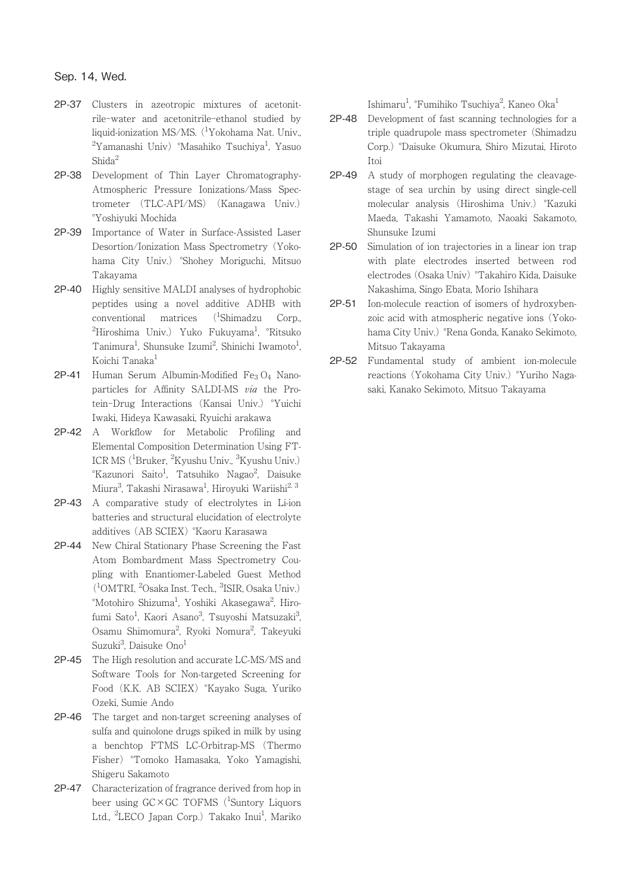- 2P-37 Clusters in azeotropic mixtures of acetonitrile-water and acetonitrile-ethanol studied by liquid-ionization MS/MS. (<sup>1</sup>Yokohama Nat. Univ.,  $^{2}$ Yamanashi Univ)  $^{\circ}$ Masahiko Tsuchiya<sup>1</sup>, Yasuo Shida<sup>2</sup>
- 2P-38 Development of Thin Layer Chromatography-Atmospheric Pressure Ionizations/Mass Spectrometer (TLC-API/MS) (Kanagawa Univ.) °Yoshiyuki Mochida
- 2P-39 Importance of Water in Surface-Assisted Laser Desortion/Ionization Mass Spectrometry (Yokohama City Univ.) °Shohey Moriguchi, Mitsuo Takayama
- 2P-40 Highly sensitive MALDI analyses of hydrophobic peptides using a novel additive ADHB with conventional matrices  $(^1$ Shimadzu Corp., <sup>2</sup>Hiroshima Univ.) Yuko Fukuyama<sup>1</sup>, °Ritsuko Tanimura<sup>1</sup>, Shunsuke Izumi<sup>2</sup>, Shinichi Iwamoto<sup>1</sup> , Koichi Tanaka<sup>1</sup>
- 2P-41 Human Serum Albumin-Modified Fe3 O4 Nanoparticles for Affinity SALDI-MS via the Protein-Drug Interactions (Kansai Univ.) °Yuichi Iwaki, Hideya Kawasaki, Ryuichi arakawa
- 2P-42 A Workflow for Metabolic Profiling and Elemental Composition Determination Using FT-ICR MS (<sup>1</sup>Bruker, <sup>2</sup>Kyushu Univ., <sup>3</sup>Kyushu Univ.) <sup>°</sup>Kazunori Saito<sup>1</sup>, Tatsuhiko Nagao<sup>2</sup>, Daisuke Miura<sup>3</sup>, Takashi Nirasawa<sup>1</sup>, Hiroyuki Wariishi<sup>2, 3</sup>
- 2P-43 A comparative study of electrolytes in Li-ion batteries and structural elucidation of electrolyte additives (AB SCIEX) °Kaoru Karasawa
- 2P-44 New Chiral Stationary Phase Screening the Fast Atom Bombardment Mass Spectrometry Coupling with Enantiomer-Labeled Guest Method (1 OMTRI, <sup>2</sup> Osaka Inst. Tech., <sup>3</sup> ISIR, Osaka Univ.) °Motohiro Shizuma<sup>1</sup>, Yoshiki Akasegawa<sup>2</sup>, Hirofumi Sato<sup>1</sup>, Kaori Asano<sup>3</sup>, Tsuyoshi Matsuzaki<sup>3</sup> .<br>, Osamu Shimomura<sup>2</sup>, Ryoki Nomura<sup>2</sup>, Takeyuki Suzuki<sup>3</sup>, Daisuke Ono<sup>1</sup>
- 2P-45 The High resolution and accurate LC-MS/MS and Software Tools for Non-targeted Screening for Food (K.K. AB SCIEX) °Kayako Suga, Yuriko Ozeki, Sumie Ando
- 2P-46 The target and non-target screening analyses of sulfa and quinolone drugs spiked in milk by using a benchtop FTMS LC-Orbitrap-MS (Thermo Fisher) °Tomoko Hamasaka, Yoko Yamagishi, Shigeru Sakamoto
- 2P-47 Characterization of fragrance derived from hop in beer using GC×GC TOFMS (<sup>1</sup>Suntory Liquors Ltd., <sup>2</sup>LECO Japan Corp.) Takako Inui<sup>1</sup>, Mariko

Ishimaru<sup>1</sup>, <sup>°</sup>Fumihiko Tsuchiya<sup>2</sup>, Kaneo Oka<sup>1</sup>

- 2P-48 Development of fast scanning technologies for a triple quadrupole mass spectrometer (Shimadzu Corp.) °Daisuke Okumura, Shiro Mizutai, Hiroto Itoi
- 2P-49 A study of morphogen regulating the cleavagestage of sea urchin by using direct single-cell molecular analysis (Hiroshima Univ.) °Kazuki Maeda, Takashi Yamamoto, Naoaki Sakamoto, Shunsuke Izumi
- 2P-50 Simulation of ion trajectories in a linear ion trap with plate electrodes inserted between rod electrodes (Osaka Univ) °Takahiro Kida, Daisuke Nakashima, Singo Ebata, Morio Ishihara
- 2P-51 Ion-molecule reaction of isomers of hydroxybenzoic acid with atmospheric negative ions (Yokohama City Univ.) °Rena Gonda, Kanako Sekimoto, Mitsuo Takayama
- 2P-52 Fundamental study of ambient ion-molecule reactions (Yokohama City Univ.) °Yuriho Nagasaki, Kanako Sekimoto, Mitsuo Takayama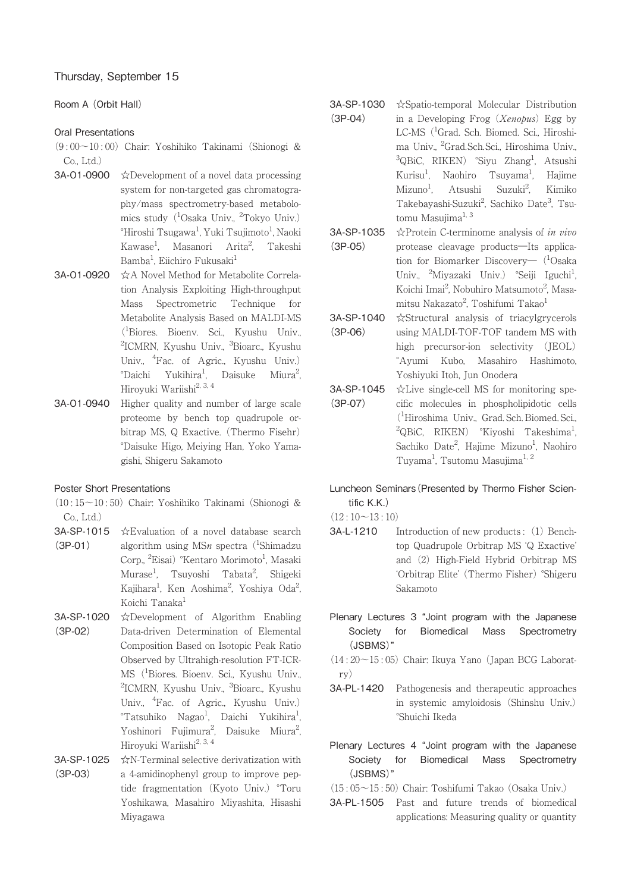# Room A (Orbit Hall)

## Oral Presentations

- (9 : 00~10 : 00) Chair: Yoshihiko Takinami (Shionogi &  $Co$  Ltd.)
- 3A-O1-0900 ☆Development of a novel data processing system for non-targeted gas chromatography/mass spectrometry-based metabolomics study (<sup>1</sup>Osaka Univ., <sup>2</sup>Tokyo Univ.)  $^{\circ}$ Hiroshi Tsugawa<sup>1</sup>, Yuki Tsujimoto<sup>1</sup>, Naoki Kawase<sup>1</sup>, Masanori Arita<sup>2</sup> , Takeshi Bamba<sup>1</sup>, Eiichiro Fukusaki<sup>1</sup>
- 3A-O1-0920 ☆A Novel Method for Metabolite Correlation Analysis Exploiting High-throughput Mass Spectrometric Technique for Metabolite Analysis Based on MALDI-MS (1 Biores. Bioenv. Sci., Kyushu Univ., <sup>2</sup>ICMRN, Kyushu Univ., <sup>3</sup>Bioarc., Kyushu Univ., <sup>4</sup>Fac. of Agric., Kyushu Univ.) °Daichi Yukihira<sup>1</sup>, Daisuke Miura<sup>2</sup> , Hiroyuki Wariishi<sup>2, 3, 4</sup>
- 3A-O1-0940 Higher quality and number of large scale proteome by bench top quadrupole orbitrap MS, Q Exactive. (Thermo Fisehr) °Daisuke Higo, Meiying Han, Yoko Yamagishi, Shigeru Sakamoto

# Poster Short Presentations

(10 : 15~10 : 50) Chair: Yoshihiko Takinami (Shionogi &  $Co.$  Ltd.)

- 3A-SP-1015 (3P-01) ☆Evaluation of a novel database search algorithm using MSn spectra (<sup>1</sup>Shimadzu Corp., <sup>2</sup>Eisai) °Kentaro Morimoto<sup>1</sup>, Masaki Murase<sup>1</sup>, Tsuyoshi Tabata<sup>2</sup>, Shigeki Kajihara<sup>1</sup>, Ken Aoshima<sup>2</sup>, Yoshiya Oda<sup>2</sup> , Koichi Tanaka<sup>1</sup>
- 3A-SP-1020 (3P-02) ☆Development of Algorithm Enabling Data-driven Determination of Elemental Composition Based on Isotopic Peak Ratio Observed by Ultrahigh-resolution FT-ICR-MS (1 Biores. Bioenv. Sci., Kyushu Univ., <sup>2</sup>ICMRN, Kyushu Univ., <sup>3</sup>Bioarc., Kyushu Univ., <sup>4</sup>Fac. of Agric., Kyushu Univ.) °Tatsuhiko Nagao<sup>1</sup>, Daichi Yukihira<sup>1</sup> , Yoshinori Fujimura<sup>2</sup>, Daisuke Miura<sup>2</sup> , Hiroyuki Wariishi<sup>2, 3, 4</sup>
- 3A-SP-1025 (3P-03) ☆N-Terminal selective derivatization with a 4-amidinophenyl group to improve peptide fragmentation (Kyoto Univ.) °Toru Yoshikawa, Masahiro Miyashita, Hisashi Miyagawa
- 3A-SP-1030 (3P-04) ☆Spatio-temporal Molecular Distribution in a Developing Frog (Xenopus) Egg by LC-MS (<sup>1</sup>Grad. Sch. Biomed. Sci., Hiroshima Univ., <sup>2</sup>Grad.Sch.Sci., Hiroshima Univ., <sup>3</sup>QBiC, RIKEN) °Siyu Zhang<sup>1</sup>, Atsushi Kurisu<sup>1</sup>, Naohiro Tsuyama<sup>1</sup>, Hajime  $Mizuno<sup>1</sup>$ , Atsushi Suzuki<sup>2</sup>, , Kimiko Takebayashi-Suzuki<sup>2</sup>, Sachiko Date<sup>3</sup>, Tsutomu Masujima<sup>1, 3</sup>
- 3A-SP-1035 (3P-05) ☆Protein C-terminome analysis of in vivo protease cleavage products―Its application for Biomarker Discovery— (<sup>1</sup>Osaka Univ., <sup>2</sup>Miyazaki Univ.) °Seiji Iguchi<sup>1</sup> , Koichi Imai<sup>2</sup>, Nobuhiro Matsumoto<sup>2</sup>, Masamitsu Nakazato<sup>2</sup>, Toshifumi Takao<sup>1</sup>
- 3A-SP-1040 (3P-06) ☆Structural analysis of triacylgrycerols using MALDI-TOF-TOF tandem MS with high precursor-ion selectivity (JEOL) °Ayumi Kubo, Masahiro Hashimoto, Yoshiyuki Itoh, Jun Onodera
- 3A-SP-1045 (3P-07) ☆Live single-cell MS for monitoring specific molecules in phospholipidotic cells (1 Hiroshima Univ., Grad. Sch. Biomed. Sci., <sup>2</sup>QBiC, RIKEN) °Kiyoshi Takeshima<sup>1</sup> , Sachiko Date<sup>2</sup>, Hajime Mizuno<sup>1</sup>, Naohiro Tuyama<sup>1</sup>, Tsutomu Masujima<sup>1, 2</sup>
- Luncheon Seminars(Presented by Thermo Fisher Scientific K.K.)

 $(12:10~13:10)$ 

- 3A-L-1210 Introduction of new products : (1) Benchtop Quadrupole Orbitrap MS ʻQ Exactive' and (2) High-Field Hybrid Orbitrap MS ʻOrbitrap Elite' (Thermo Fisher) °Shigeru Sakamoto
- Plenary Lectures 3 "Joint program with the Japanese Society for Biomedical Mass Spectrometry (JSBMS)"
- $(14:20\sim15:05)$  Chair: Ikuya Yano (Japan BCG Laboratry)
- 3A-PL-1420 Pathogenesis and therapeutic approaches in systemic amyloidosis (Shinshu Univ.) °Shuichi Ikeda

Plenary Lectures 4 "Joint program with the Japanese Society for Biomedical Mass Spectrometry (JSBMS)"

 $(15:05 \sim 15:50)$  Chair: Toshifumi Takao (Osaka Univ.)

3A-PL-1505 Past and future trends of biomedical applications: Measuring quality or quantity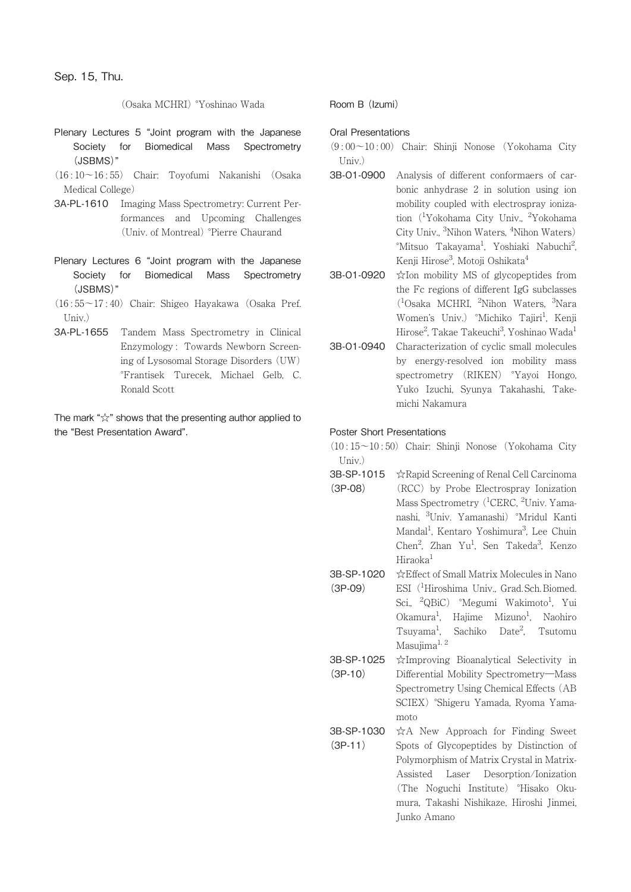(Osaka MCHRI) °Yoshinao Wada

- Plenary Lectures 5 "Joint program with the Japanese Society for Biomedical Mass Spectrometry (JSBMS)"
- (16 : 10~16 : 55) Chair: Toyofumi Nakanishi (Osaka Medical College)
- 3A-PL-1610 Imaging Mass Spectrometry: Current Performances and Upcoming Challenges (Univ. of Montreal) °Pierre Chaurand
- Plenary Lectures 6 "Joint program with the Japanese Society for Biomedical Mass Spectrometry (JSBMS)"
- $(16:55 \sim 17:40)$  Chair: Shigeo Hayakawa (Osaka Pref. Univ.)
- 3A-PL-1655 Tandem Mass Spectrometry in Clinical Enzymology : Towards Newborn Screening of Lysosomal Storage Disorders (UW) °Frantisek Turecek, Michael Gelb, C. Ronald Scott

The mark "☆" shows that the presenting author applied to the "Best Presentation Award".

Room B (Izumi)

#### Oral Presentations

- $(9:00 \sim 10:00)$  Chair: Shinji Nonose (Yokohama City  $Univ$ )
- 3B-O1-0900 Analysis of different conformaers of carbonic anhydrase 2 in solution using ion mobility coupled with electrospray ionization (<sup>1</sup>Yokohama City Univ., <sup>2</sup>Yokohama City Univ., <sup>3</sup>Nihon Waters, <sup>4</sup>Nihon Waters) °Mitsuo Takayama<sup>1</sup>, Yoshiaki Nabuchi<sup>2</sup> , Kenji Hirose<sup>3</sup>, Motoji Oshikata<sup>4</sup>
- 3B-O1-0920 ☆Ion mobility MS of glycopeptides from the Fc regions of different IgG subclasses (1 Osaka MCHRI, <sup>2</sup> Nihon Waters, <sup>3</sup> Nara Women's Univ.) °Michiko Tajiri<sup>1</sup>, Kenji Hirose<sup>2</sup>, Takae Takeuchi<sup>3</sup>, Yoshinao Wada<sup>1</sup>
- 3B-O1-0940 Characterization of cyclic small molecules by energy-resolved ion mobility mass spectrometry (RIKEN) °Yayoi Hongo, Yuko Izuchi, Syunya Takahashi, Takemichi Nakamura

#### Poster Short Presentations

(10 : 15~10 : 50) Chair: Shinji Nonose (Yokohama City Univ.)

- 3B-SP-1015 ☆Rapid Screening of Renal Cell Carcinoma (3P-08) (RCC) by Probe Electrospray Ionization Mass Spectrometry (<sup>1</sup>CERC, <sup>2</sup>Univ. Yamanashi, <sup>3</sup> Univ. Yamanashi) °Mridul Kanti Mandal<sup>1</sup>, Kentaro Yoshimura<sup>3</sup>, Lee Chuin Chen<sup>2</sup>, Zhan Yu<sup>1</sup>, Sen Takeda<sup>3</sup>, Kenzo Hiraoka<sup>1</sup>
- 3B-SP-1020 (3P-09) ☆Effect of Small Matrix Molecules in Nano ESI (<sup>1</sup>Hiroshima Univ., Grad. Sch. Biomed. Sci., <sup>2</sup>QBiC) °Megumi Wakimoto<sup>1</sup>, Yui Okamura<sup>1</sup>, Hajime Mizuno<sup>1</sup>, Naohiro  $T$ suyama<sup>1</sup>. , Sachiko Date2 , Tsutomu Masujima<sup>1, 2</sup>
- 3B-SP-1025 (3P-10) ☆Improving Bioanalytical Selectivity in Differential Mobility Spectrometry―Mass Spectrometry Using Chemical Effects (AB SCIEX) °Shigeru Yamada, Ryoma Yamamoto
- 3B-SP-1030 (3P-11) ☆A New Approach for Finding Sweet Spots of Glycopeptides by Distinction of Polymorphism of Matrix Crystal in Matrix-Assisted Laser Desorption/Ionization (The Noguchi Institute) °Hisako Okumura, Takashi Nishikaze, Hiroshi Jinmei, Junko Amano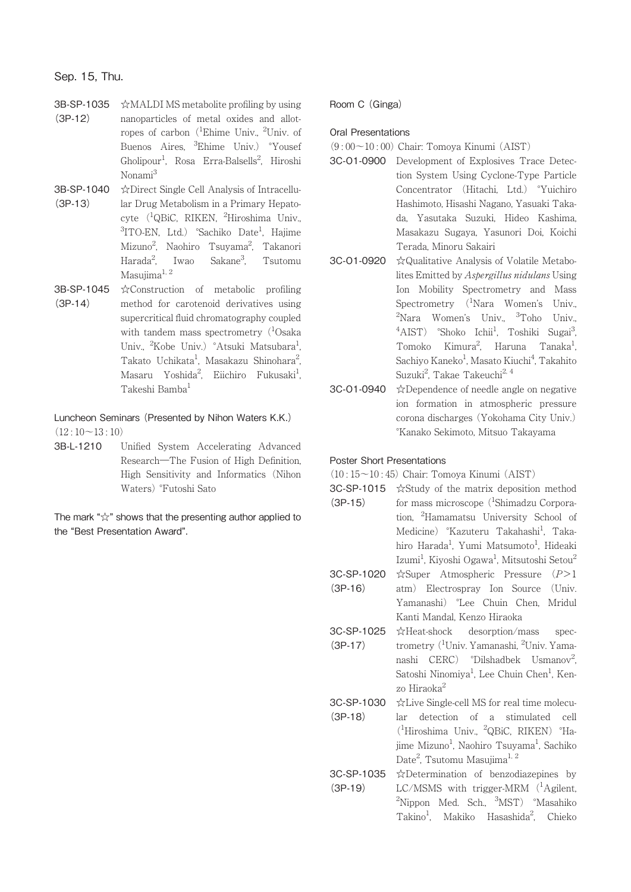# Sep. 15, Thu.

- 3B-SP-1035 (3P-12) ☆MALDI MS metabolite profiling by using nanoparticles of metal oxides and allotropes of carbon (<sup>1</sup>Ehime Univ., <sup>2</sup>Univ. of Buenos Aires, <sup>3</sup>Ehime Univ.) °Yousef Gholipour<sup>1</sup>, Rosa Erra-Balsells<sup>2</sup>, Hiroshi Nonami3
- 3B-SP-1040 (3P-13) ☆Direct Single Cell Analysis of Intracellular Drug Metabolism in a Primary Hepatocyte (<sup>1</sup>QBiC, RIKEN, <sup>2</sup>Hiroshima Univ., <sup>3</sup>ITO-EN, Ltd.) °Sachiko Date<sup>1</sup>, Hajime Mizuno<sup>2</sup>, Naohiro Tsuyama<sup>2</sup>, Takanori Harada<sup>2</sup>, Iwao Sakane<sup>3</sup>, , Tsutomu Masujima<sup>1, 2</sup>
- 3B-SP-1045 (3P-14) ☆Construction of metabolic profiling method for carotenoid derivatives using supercritical fluid chromatography coupled with tandem mass spectrometry  $(^1$ Osaka Univ., <sup>2</sup>Kobe Univ.) °Atsuki Matsubara<sup>1</sup> , Takato Uchikata<sup>1</sup>, Masakazu Shinohara<sup>2</sup> , Masaru Yoshida<sup>2</sup>, Eiichiro Fukusaki<sup>1</sup> , Takeshi Bamba1

# Luncheon Seminars (Presented by Nihon Waters K.K.)  $(12:10~13:10)$

3B-L-1210 Unified System Accelerating Advanced Research―The Fusion of High Definition, High Sensitivity and Informatics (Nihon Waters) °Futoshi Sato

The mark "☆" shows that the presenting author applied to the "Best Presentation Award".

## Room C (Ginga)

### Oral Presentations

- $(9:00~10:00)$  Chair: Tomova Kinumi (AIST)
- 3C-O1-0900 Development of Explosives Trace Detection System Using Cyclone-Type Particle Concentrator (Hitachi, Ltd.) °Yuichiro Hashimoto, Hisashi Nagano, Yasuaki Takada, Yasutaka Suzuki, Hideo Kashima, Masakazu Sugaya, Yasunori Doi, Koichi Terada, Minoru Sakairi
- 3C-O1-0920 ☆Qualitative Analysis of Volatile Metabolites Emitted by Aspergillus nidulans Using Ion Mobility Spectrometry and Mass Spectrometry (<sup>1</sup>Nara Women's Univ., <sup>2</sup>Nara Women's Univ., <sup>3</sup>Toho Univ., <sup>4</sup>AIST) °Shoko Ichii<sup>1</sup>, Toshiki Sugai<sup>3</sup> ,<br>, Tomoko Kimura<sup>2</sup>, Haruna Tanaka<sup>1</sup> , Sachiyo Kaneko<sup>1</sup>, Masato Kiuchi<sup>4</sup>, Takahito Suzuki<sup>2</sup>, Takae Takeuchi<sup>2, 4</sup>
- 3C-O1-0940 ☆Dependence of needle angle on negative ion formation in atmospheric pressure corona discharges (Yokohama City Univ.) °Kanako Sekimoto, Mitsuo Takayama

## Poster Short Presentations

 $(10:15\sim10:45)$  Chair: Tomoya Kinumi  $(AIST)$ 

- 3C-SP-1015 ☆Study of the matrix deposition method (3P-15) for mass microscope (<sup>1</sup>Shimadzu Corporation, <sup>2</sup> Hamamatsu University School of Medicine) °Kazuteru Takahashi<sup>1</sup>, Takahiro Harada<sup>1</sup>, Yumi Matsumoto<sup>1</sup>, Hideaki Izumi<sup>1</sup>, Kiyoshi Ogawa<sup>1</sup>, Mitsutoshi Setou<sup>2</sup>
- 3C-SP-1020  $(3P-16)$ ☆Super Atmospheric Pressure (P>1 atm) Electrospray Ion Source (Univ. Yamanashi) °Lee Chuin Chen, Mridul Kanti Mandal, Kenzo Hiraoka
- 3C-SP-1025 (3P-17) ☆Heat-shock desorption/mass spectrometry (<sup>1</sup>Univ. Yamanashi, <sup>2</sup>Univ. Yamanashi CERC) °Dilshadbek Usmanov<sup>2</sup> ;<br>; Satoshi Ninomiya<sup>1</sup>, Lee Chuin Chen<sup>1</sup>, Kenzo Hiraoka2

3C-SP-1030 (3P-18) ☆Live Single-cell MS for real time molecular detection of a stimulated cell (1 Hiroshima Univ., <sup>2</sup> QBiC, RIKEN) °Hajime Mizuno<sup>1</sup>, Naohiro Tsuyama<sup>1</sup>, Sachiko Date<sup>2</sup>, Tsutomu Masujima<sup>1, 2</sup>

3C-SP-1035 (3P-19) ☆Determination of benzodiazepines by LC/MSMS with trigger-MRM (<sup>1</sup>Agilent, <sup>2</sup>Nippon Med. Sch., <sup>3</sup>MST) °Masahiko Takino<sup>1</sup>, Makiko Hasashida<sup>2</sup>, Chieko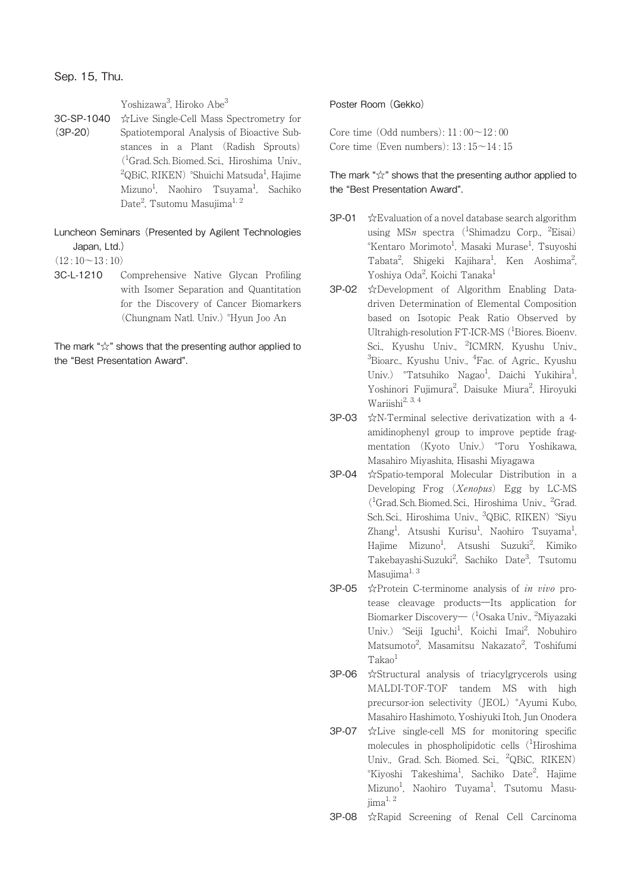Sep. 15, Thu.

Yoshizawa<sup>3</sup>, Hiroko Abe<sup>3</sup>

3C-SP-1040 (3P-20) ☆Live Single-Cell Mass Spectrometry for Spatiotemporal Analysis of Bioactive Substances in a Plant (Radish Sprouts) (1 Grad. Sch. Biomed. Sci., Hiroshima Univ., <sup>2</sup>QBiC, RIKEN) °Shuichi Matsuda<sup>1</sup>, Hajime Mizuno<sup>1</sup>, Naohiro Tsuyama<sup>1</sup>, Sachiko Date<sup>2</sup>, Tsutomu Masujima<sup>1, 2</sup>

# Luncheon Seminars (Presented by Agilent Technologies Japan, Ltd.)

 $(12:10~13:10)$ 

3C-L-1210 Comprehensive Native Glycan Profiling with Isomer Separation and Quantitation for the Discovery of Cancer Biomarkers (Chungnam Natl. Univ.) °Hyun Joo An

The mark "☆" shows that the presenting author applied to the "Best Presentation Award".

## Poster Room (Gekko)

Core time  $(Odd numbers): 11: 00~12: 00$ Core time (Even numbers):  $13 \cdot 15 \sim 14 \cdot 15$ 

- 3P-01 ☆Evaluation of a novel database search algorithm using MSn spectra (<sup>1</sup>Shimadzu Corp., <sup>2</sup>Eisai) °Kentaro Morimoto<sup>1</sup>, Masaki Murase<sup>1</sup>, Tsuyoshi Tabata<sup>2</sup>, Shigeki Kajihara<sup>1</sup>, Ken Aoshima<sup>2</sup> , Yoshiya Oda<sup>2</sup>, Koichi Tanaka<sup>1</sup>
- 3P-02 ☆Development of Algorithm Enabling Datadriven Determination of Elemental Composition based on Isotopic Peak Ratio Observed by Ultrahigh-resolution FT-ICR-MS (<sup>1</sup>Biores. Bioenv. Sci., Kyushu Univ., <sup>2</sup>ICMRN, Kyushu Univ., <sup>3</sup>Bioarc., Kyushu Univ., <sup>4</sup>Fac. of Agric., Kyushu Univ.) °Tatsuhiko Nagao<sup>1</sup>, Daichi Yukihira<sup>1</sup> , Yoshinori Fujimura<sup>2</sup>, Daisuke Miura<sup>2</sup>, Hiroyuki Wariishi2, 3, 4
- 3P-03 ☆N-Terminal selective derivatization with a 4 amidinophenyl group to improve peptide fragmentation (Kyoto Univ.) °Toru Yoshikawa, Masahiro Miyashita, Hisashi Miyagawa
- 3P-04 ☆Spatio-temporal Molecular Distribution in a Developing Frog (Xenopus) Egg by LC-MS (<sup>1</sup>Grad. Sch. Biomed. Sci., Hiroshima Univ., <sup>2</sup>Grad. Sch. Sci., Hiroshima Univ., <sup>3</sup>QBiC, RIKEN) °Siyu Zhang<sup>1</sup>, Atsushi Kurisu<sup>1</sup>, Naohiro Tsuyama<sup>1</sup> , Hajime Mizuno<sup>1</sup>, Atsushi Suzuki<sup>2</sup>, Kimiko Takebayashi-Suzuki<sup>2</sup>, Sachiko Date<sup>3</sup>, Tsutomu Masujima $^{1, 3}$
- 3P-05 ☆Protein C-terminome analysis of in vivo protease cleavage products―Its application for Biomarker Discovery— (<sup>1</sup>Osaka Univ., <sup>2</sup>Miyazaki Univ.) °Seiji Iguchi<sup>1</sup>, Koichi Imai<sup>2</sup>, Nobuhiro Matsumoto<sup>2</sup>, Masamitsu Nakazato<sup>2</sup>, Toshifumi  $Takao<sup>1</sup>$
- 3P-06 ☆Structural analysis of triacylgrycerols using MALDI-TOF-TOF tandem MS with high precursor-ion selectivity (JEOL) °Ayumi Kubo, Masahiro Hashimoto, Yoshiyuki Itoh, Jun Onodera
- 3P-07 ☆Live single-cell MS for monitoring specific molecules in phospholipidotic cells (<sup>1</sup>Hiroshima Univ., Grad. Sch. Biomed. Sci., <sup>2</sup> QBiC, RIKEN) °Kiyoshi Takeshima<sup>1</sup>, Sachiko Date<sup>2</sup>, Hajime Mizuno<sup>1</sup>, Naohiro Tuyama<sup>1</sup>, Tsutomu Masujima<sup>1, 2</sup>
- 3P-08 ☆Rapid Screening of Renal Cell Carcinoma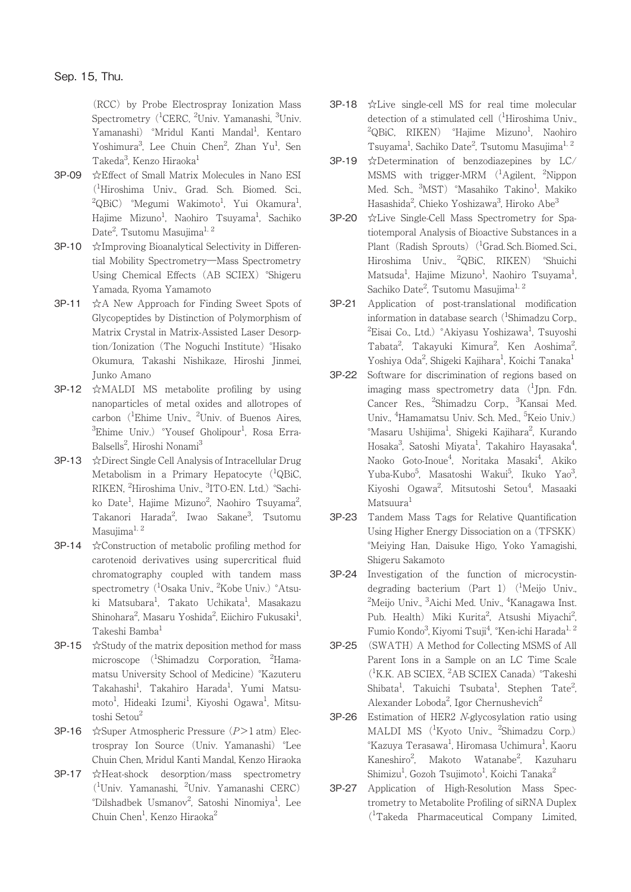(RCC) by Probe Electrospray Ionization Mass Spectrometry (<sup>1</sup>CERC, <sup>2</sup>Univ. Yamanashi, <sup>3</sup>Univ. Yamanashi) °Mridul Kanti Mandal<sup>1</sup>, Kentaro Yoshimura<sup>3</sup>, Lee Chuin Chen<sup>2</sup>, Zhan Yu<sup>1</sup>, Sen Takeda<sup>3</sup>, Kenzo Hiraoka<sup>1</sup>

- 3P-09 ☆Effect of Small Matrix Molecules in Nano ESI (1 Hiroshima Univ., Grad. Sch. Biomed. Sci.,  ${}^2\text{QBiC}$ )  ${}^{\circ}\text{Megumi}$  Wakimoto ${}^1$ , Yui Okamura ${}^1$ , Hajime Mizuno<sup>1</sup>, Naohiro Tsuyama<sup>1</sup>, Sachiko Date<sup>2</sup>, Tsutomu Masujima<sup>1, 2</sup>
- 3P-10 ☆Improving Bioanalytical Selectivity in Differential Mobility Spectrometry―Mass Spectrometry Using Chemical Effects (AB SCIEX) °Shigeru Yamada, Ryoma Yamamoto
- 3P-11 ☆A New Approach for Finding Sweet Spots of Glycopeptides by Distinction of Polymorphism of Matrix Crystal in Matrix-Assisted Laser Desorption/Ionization (The Noguchi Institute) °Hisako Okumura, Takashi Nishikaze, Hiroshi Jinmei, Junko Amano
- 3P-12 ☆MALDI MS metabolite profiling by using nanoparticles of metal oxides and allotropes of carbon (<sup>1</sup>Ehime Univ., <sup>2</sup>Univ. of Buenos Aires, <sup>3</sup>Ehime Univ.) °Yousef Gholipour<sup>1</sup>, Rosa Erra-Balsells<sup>2</sup>, Hiroshi Nonami<sup>3</sup>
- 3P-13 ☆Direct Single Cell Analysis of Intracellular Drug Metabolism in a Primary Hepatocyte (<sup>1</sup>QBiC, RIKEN, <sup>2</sup>Hiroshima Univ., <sup>3</sup>ITO-EN. Ltd.) °Sachiko Date<sup>1</sup>, Hajime Mizuno<sup>2</sup>, Naohiro Tsuyama<sup>2</sup> , Takanori Harada<sup>2</sup>, Iwao Sakane<sup>3</sup>, Tsutomu Masujima $^{1, 2}$
- 3P-14 ☆Construction of metabolic profiling method for carotenoid derivatives using supercritical fluid chromatography coupled with tandem mass spectrometry (<sup>1</sup>Osaka Univ., <sup>2</sup>Kobe Univ.) °Atsuki Matsubara<sup>1</sup>, Takato Uchikata<sup>1</sup>, Masakazu Shinohara<sup>2</sup>, Masaru Yoshida<sup>2</sup>, Eiichiro Fukusaki<sup>1</sup> , Takeshi Bamba<sup>1</sup>
- $3P-15$   $\&$  Study of the matrix deposition method for mass microscope (<sup>1</sup>Shimadzu Corporation, <sup>2</sup>Hamamatsu University School of Medicine) °Kazuteru Takahashi<sup>1</sup>, Takahiro Harada<sup>1</sup>, Yumi Matsumoto<sup>1</sup>, Hideaki Izumi<sup>1</sup>, Kiyoshi Ogawa<sup>1</sup>, Mitsutoshi Setou<sup>2</sup>
- 3P-16 ☆Super Atmospheric Pressure (P>1 atm) Electrospray Ion Source (Univ. Yamanashi) °Lee Chuin Chen, Mridul Kanti Mandal, Kenzo Hiraoka
- 3P-17 ☆Heat-shock desorption/mass spectrometry (1 Univ. Yamanashi, <sup>2</sup> Univ. Yamanashi CERC) °Dilshadbek Usmanov<sup>2</sup>, Satoshi Ninomiya<sup>1</sup>, Lee Chuin Chen<sup>1</sup>, Kenzo Hiraoka<sup>2</sup>
- 3P-18 ☆Live single-cell MS for real time molecular detection of a stimulated cell (<sup>1</sup>Hiroshima Univ., <sup>2</sup>QBiC, RIKEN) °Hajime Mizuno<sup>1</sup>, Naohiro Tsuyama<sup>1</sup>, Sachiko Date<sup>2</sup>, Tsutomu Masujima<sup>1, 2</sup>
- 3P-19 ☆Determination of benzodiazepines by LC/ MSMS with trigger-MRM (<sup>1</sup>Agilent, <sup>2</sup>Nippon Med. Sch., <sup>3</sup>MST) °Masahiko Takino<sup>1</sup>, Makiko Hasashida<sup>2</sup>, Chieko Yoshizawa<sup>3</sup>, Hiroko Abe<sup>3</sup>
- 3P-20 ☆Live Single-Cell Mass Spectrometry for Spatiotemporal Analysis of Bioactive Substances in a Plant (Radish Sprouts) (<sup>1</sup>Grad. Sch. Biomed. Sci., Hiroshima Univ., <sup>2</sup> QBiC, RIKEN) °Shuichi Matsuda<sup>1</sup>, Hajime Mizuno<sup>1</sup>, Naohiro Tsuyama<sup>1</sup> , Sachiko Date<sup>2</sup>, Tsutomu Masujima<sup>1, 2</sup>
- 3P-21 Application of post-translational modification information in database search (<sup>1</sup>Shimadzu Corp., <sup>2</sup>Eisai Co., Ltd.) °Akiyasu Yoshizawa<sup>1</sup>, Tsuyoshi Tabata<sup>2</sup>, Takayuki Kimura<sup>2</sup>, Ken Aoshima<sup>2</sup> , Yoshiya Oda<sup>2</sup>, Shigeki Kajihara<sup>1</sup>, Koichi Tanaka<sup>1</sup>
- 3P-22 Software for discrimination of regions based on imaging mass spectrometry data (<sup>1</sup>Jpn. Fdn. Cancer Res., <sup>2</sup>Shimadzu Corp., <sup>3</sup>Kansai Med. Univ., <sup>4</sup>Hamamatsu Univ. Sch. Med., <sup>5</sup>Keio Univ.) °Masaru Ushijima<sup>1</sup>, Shigeki Kajihara<sup>2</sup>, Kurando Hosaka<sup>3</sup>, Satoshi Miyata<sup>1</sup>, Takahiro Hayasaka<sup>4</sup> , Naoko Goto-Inoue<sup>4</sup>, Noritaka Masaki<sup>4</sup>, Akiko Yuba-Kubo<sup>5</sup>, Masatoshi Wakui<sup>5</sup>, Ikuko Yao<sup>3</sup> , Kiyoshi Ogawa<sup>2</sup>, Mitsutoshi Setou<sup>4</sup>, Masaaki Matsuura<sup>1</sup>
- 3P-23 Tandem Mass Tags for Relative Quantification Using Higher Energy Dissociation on a (TFSKK) °Meiying Han, Daisuke Higo, Yoko Yamagishi, Shigeru Sakamoto
- 3P-24 Investigation of the function of microcystindegrading bacterium (Part 1) (<sup>1</sup>Meijo Univ., <sup>2</sup>Meijo Univ., <sup>3</sup>Aichi Med. Univ., <sup>4</sup>Kanagawa Inst. Pub. Health) Miki Kurita<sup>2</sup>, Atsushi Miyachi<sup>2</sup> , Fumio Kondo<sup>3</sup>, Kiyomi Tsuji<sup>4</sup>, °Ken-ichi Harada<sup>1, 2</sup>
- 3P-25 (SWATH) A Method for Collecting MSMS of All Parent Ions in a Sample on an LC Time Scale (1 K.K. AB SCIEX, <sup>2</sup> AB SCIEX Canada) °Takeshi Shibata<sup>1</sup>, Takuichi Tsubata<sup>1</sup>, Stephen Tate<sup>2</sup> , Alexander Loboda<sup>2</sup>, Igor Chernushevich<sup>2</sup>
- 3P-26 Estimation of HER2 N-glycosylation ratio using MALDI MS <sup>(1</sup>Kyoto Univ., <sup>2</sup>Shimadzu Corp.)  $^\circ$ Kazuya Terasawa $^{\rm l}$ , Hiromasa Uchimura $^{\rm l}$ , Kaoru Kaneshiro<sup>2</sup>, Makoto Watanabe<sup>2</sup>, Kazuharu Shimizu<sup>1</sup>, Gozoh Tsujimoto<sup>1</sup>, Koichi Tanaka<sup>2</sup>
- 3P-27 Application of High-Resolution Mass Spectrometry to Metabolite Profiling of siRNA Duplex (1 Takeda Pharmaceutical Company Limited,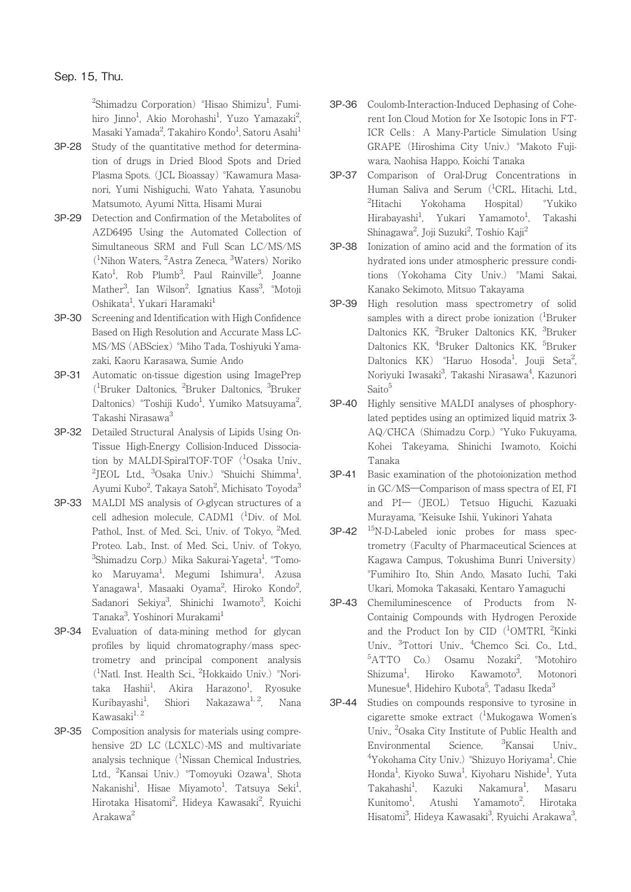<sup>2</sup>Shimadzu Corporation) °Hisao Shimizu<sup>1</sup>, Fumihiro Jinno<sup>1</sup>, Akio Morohashi<sup>1</sup>, Yuzo Yamazaki<sup>2</sup> .<br>, Masaki Yamada<sup>2</sup>, Takahiro Kondo<sup>1</sup>, Satoru Asahi<sup>1</sup>

- 3P-28 Study of the quantitative method for determination of drugs in Dried Blood Spots and Dried Plasma Spots. (JCL Bioassay) °Kawamura Masanori, Yumi Nishiguchi, Wato Yahata, Yasunobu Matsumoto, Ayumi Nitta, Hisami Murai
- 3P-29 Detection and Confirmation of the Metabolites of AZD6495 Using the Automated Collection of Simultaneous SRM and Full Scan LC/MS/MS (1 Nihon Waters, <sup>2</sup> Astra Zeneca, <sup>3</sup> Waters) Noriko Kato<sup>1</sup>, Rob Plumb<sup>3</sup>, Paul Rainville<sup>3</sup>, Joanne Mather<sup>3</sup>, Ian Wilson<sup>2</sup>, Ignatius Kass<sup>3</sup>, °Motoji Oshikata<sup>1</sup>, Yukari Haramaki<sup>1</sup>
- 3P-30 Screening and Identification with High Confidence Based on High Resolution and Accurate Mass LC-MS/MS (ABSciex) °Miho Tada, Toshiyuki Yamazaki, Kaoru Karasawa, Sumie Ando
- 3P-31 Automatic on-tissue digestion using ImagePrep (1 Bruker Daltonics, <sup>2</sup> Bruker Daltonics, <sup>3</sup> Bruker Daltonics) °Toshiji Kudo<sup>1</sup>, Yumiko Matsuyama<sup>2</sup> .<br>, Takashi Nirasawa<sup>3</sup>
- 3P-32 Detailed Structural Analysis of Lipids Using On-Tissue High-Energy Collision-Induced Dissociation by MALDI-SpiralTOF-TOF (<sup>1</sup>Osaka Univ., <sup>2</sup>JEOL Ltd., <sup>3</sup>Osaka Univ.) °Shuichi Shimma<sup>1</sup> , Ayumi Kubo<sup>2</sup>, Takaya Satoh<sup>2</sup>, Michisato Toyoda<sup>3</sup>
- 3P-33 MALDI MS analysis of O-glycan structures of a cell adhesion molecule, CADM1 (<sup>1</sup>Div. of Mol. Pathol., Inst. of Med. Sci., Univ. of Tokyo, <sup>2</sup>Med. Proteo. Lab., Inst. of Med. Sci., Univ. of Tokyo,  $^3$ Shimadzu Corp.) Mika Sakurai-Yageta $^1$ ,  $^{\circ}$ Tomoko Maruyama<sup>1</sup>, Megumi Ishimura<sup>1</sup>, Azusa Yanagawa<sup>1</sup>, Masaaki Oyama<sup>2</sup>, Hiroko Kondo<sup>2</sup> , Sadanori Sekiya<sup>3</sup>, Shinichi Iwamoto<sup>3</sup>, Koichi Tanaka<sup>3</sup>, Yoshinori Murakami<sup>1</sup>
- 3P-34 Evaluation of data-mining method for glycan profiles by liquid chromatography/mass spectrometry and principal component analysis (1 Natl. Inst. Health Sci., <sup>2</sup> Hokkaido Univ.) °Noritaka Hashii<sup>1</sup>, , Akira Harazono<sup>1</sup>, Ryosuke Kuribayashi<sup>1</sup>. Shiori Nakazawa<sup>1, 2</sup>, Nana Kawasaki $^{1, 2}$
- 3P-35 Composition analysis for materials using comprehensive 2D LC (LCXLC)-MS and multivariate analysis technique  $(^1$ Nissan Chemical Industries, Ltd., <sup>2</sup>Kansai Univ.) °Tomoyuki Ozawa<sup>1</sup>, Shota Nakanishi<sup>1</sup>, Hisae Miyamoto<sup>1</sup>, Tatsuya Seki<sup>1</sup> , Hirotaka Hisatomi<sup>2</sup>, Hideya Kawasaki<sup>2</sup>, Ryuichi Arakawa2
- 3P-36 Coulomb-Interaction-Induced Dephasing of Coherent Ion Cloud Motion for Xe Isotopic Ions in FT-ICR Cells : A Many-Particle Simulation Using GRAPE (Hiroshima City Univ.) °Makoto Fujiwara, Naohisa Happo, Koichi Tanaka
- 3P-37 Comparison of Oral-Drug Concentrations in Human Saliva and Serum (<sup>1</sup>CRL, Hitachi, Ltd.,  ${}^{2}$ Hitachi Yokohama Hospital) <sup>°</sup>Yukiko Hirabayashi<sup>1</sup>, Yukari Yamamoto<sup>1</sup> , Takashi Shinagawa<sup>2</sup>, Joji Suzuki<sup>2</sup>, Toshio Kaji<sup>2</sup>
- 3P-38 Ionization of amino acid and the formation of its hydrated ions under atmospheric pressure conditions (Yokohama City Univ.) °Mami Sakai, Kanako Sekimoto, Mitsuo Takayama
- 3P-39 High resolution mass spectrometry of solid samples with a direct probe ionization  $(^1$ Bruker Daltonics KK, <sup>2</sup>Bruker Daltonics KK, <sup>3</sup>Bruker Daltonics KK, <sup>4</sup>Bruker Daltonics KK, <sup>5</sup>Bruker Daltonics KK) °Haruo Hosoda<sup>1</sup>, Jouji Seta<sup>2</sup> , Noriyuki Iwasaki<sup>3</sup>, Takashi Nirasawa<sup>4</sup>, Kazunori Saito<sup>5</sup>
- 3P-40 Highly sensitive MALDI analyses of phosphorylated peptides using an optimized liquid matrix 3- AQ/CHCA (Shimadzu Corp.) °Yuko Fukuyama, Kohei Takeyama, Shinichi Iwamoto, Koichi Tanaka
- 3P-41 Basic examination of the photoionization method in GC/MS―Comparison of mass spectra of EI, FI and PI― (JEOL) Tetsuo Higuchi, Kazuaki Murayama, °Keisuke Ishii, Yukinori Yahata
- $3P-42$  <sup>15</sup>N-D-Labeled ionic probes for mass spectrometry (Faculty of Pharmaceutical Sciences at Kagawa Campus, Tokushima Bunri University) °Fumihiro Ito, Shin Ando, Masato Iuchi, Taki Ukari, Momoka Takasaki, Kentaro Yamaguchi
- 3P-43 Chemiluminescence of Products from N-Containig Compounds with Hydrogen Peroxide and the Product Ion by CID  $(^1$ OMTRI, <sup>2</sup>Kinki Univ., <sup>3</sup>Tottori Univ., <sup>4</sup>Chemco Sci. Co., Ltd., <sup>5</sup>ATTO Co.) Osamu Nozaki<sup>2</sup>, °Motohiro Shizuma<sup>1</sup>. Hiroko Kawamoto<sup>3</sup>. , Motonori Munesue<sup>4</sup>, Hidehiro Kubota<sup>5</sup>, Tadasu Ikeda<sup>3</sup>
- 3P-44 Studies on compounds responsive to tyrosine in cigarette smoke extract (<sup>1</sup> Mukogawa Women's Univ., <sup>2</sup>Osaka City Institute of Public Health and Environmental Science, <sup>3</sup>Kansai Univ., <sup>4</sup>Yokohama City Univ.) °Shizuyo Horiyama<sup>1</sup>, Chie Honda<sup>1</sup>, Kiyoko Suwa<sup>1</sup>, Kiyoharu Nishide<sup>1</sup>, Yuta  $Takahashi<sup>1</sup>$ . Kazuki Nakamura<sup>1</sup>, , Masaru Kunitomo<sup>1</sup>. Atushi Yamamoto<sup>2</sup>. , Hirotaka Hisatomi<sup>3</sup>, Hideya Kawasaki<sup>3</sup>, Ryuichi Arakawa<sup>3</sup> ,